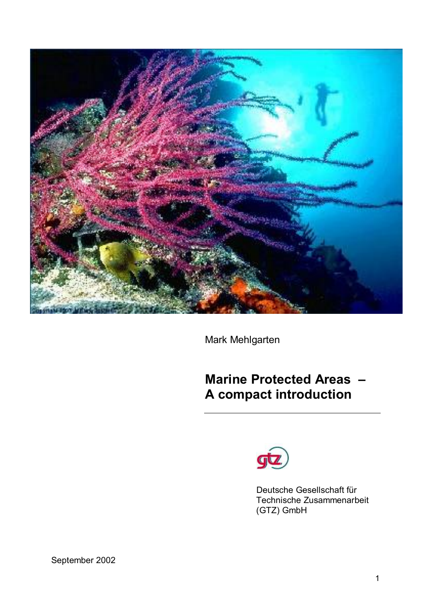

Mark Mehlgarten

# **Marine Protected Areas – A compact introduction**



Deutsche Gesellschaft für Technische Zusammenarbeit (GTZ) GmbH

September 2002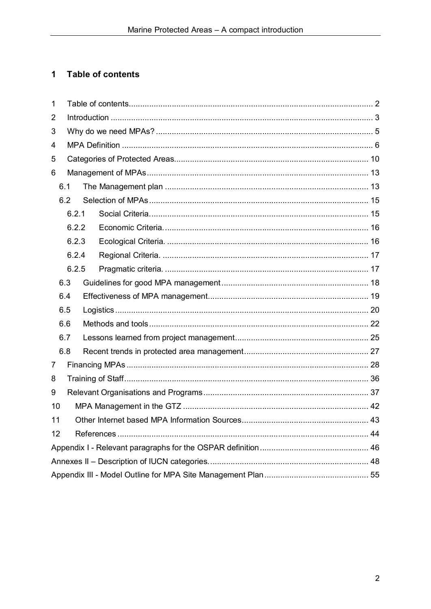# 1 Table of contents

| 1  |     |       |  |  |  |  |  |
|----|-----|-------|--|--|--|--|--|
| 2  |     |       |  |  |  |  |  |
| 3  |     |       |  |  |  |  |  |
| 4  |     |       |  |  |  |  |  |
| 5  |     |       |  |  |  |  |  |
| 6  |     |       |  |  |  |  |  |
|    | 6.1 |       |  |  |  |  |  |
|    | 6.2 |       |  |  |  |  |  |
|    |     | 6.2.1 |  |  |  |  |  |
|    |     | 6.2.2 |  |  |  |  |  |
|    |     | 6.2.3 |  |  |  |  |  |
|    |     | 6.2.4 |  |  |  |  |  |
|    |     | 6.2.5 |  |  |  |  |  |
|    | 6.3 |       |  |  |  |  |  |
|    | 6.4 |       |  |  |  |  |  |
|    | 6.5 |       |  |  |  |  |  |
|    | 6.6 |       |  |  |  |  |  |
|    | 6.7 |       |  |  |  |  |  |
|    | 6.8 |       |  |  |  |  |  |
| 7  |     |       |  |  |  |  |  |
| 8  |     |       |  |  |  |  |  |
| 9  |     |       |  |  |  |  |  |
| 10 |     |       |  |  |  |  |  |
| 11 |     |       |  |  |  |  |  |
| 12 |     |       |  |  |  |  |  |
|    |     |       |  |  |  |  |  |
|    |     |       |  |  |  |  |  |
|    |     |       |  |  |  |  |  |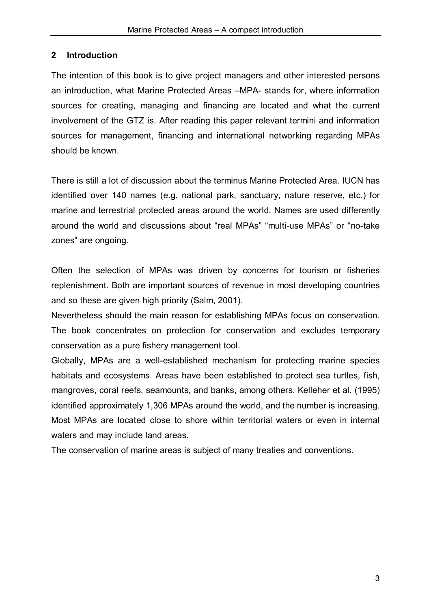# **2 Introduction**

The intention of this book is to give project managers and other interested persons an introduction, what Marine Protected Areas –MPA- stands for, where information sources for creating, managing and financing are located and what the current involvement of the GTZ is. After reading this paper relevant termini and information sources for management, financing and international networking regarding MPAs should be known.

There is still a lot of discussion about the terminus Marine Protected Area. IUCN has identified over 140 names (e.g. national park, sanctuary, nature reserve, etc.) for marine and terrestrial protected areas around the world. Names are used differently around the world and discussions about "real MPAs" "multi-use MPAs" or "no-take zones" are ongoing.

Often the selection of MPAs was driven by concerns for tourism or fisheries replenishment. Both are important sources of revenue in most developing countries and so these are given high priority (Salm, 2001).

Nevertheless should the main reason for establishing MPAs focus on conservation. The book concentrates on protection for conservation and excludes temporary conservation as a pure fishery management tool.

Globally, MPAs are a well-established mechanism for protecting marine species habitats and ecosystems. Areas have been established to protect sea turtles, fish, mangroves, coral reefs, seamounts, and banks, among others. Kelleher et al. (1995) identified approximately 1,306 MPAs around the world, and the number is increasing. Most MPAs are located close to shore within territorial waters or even in internal waters and may include land areas.

The conservation of marine areas is subject of many treaties and conventions.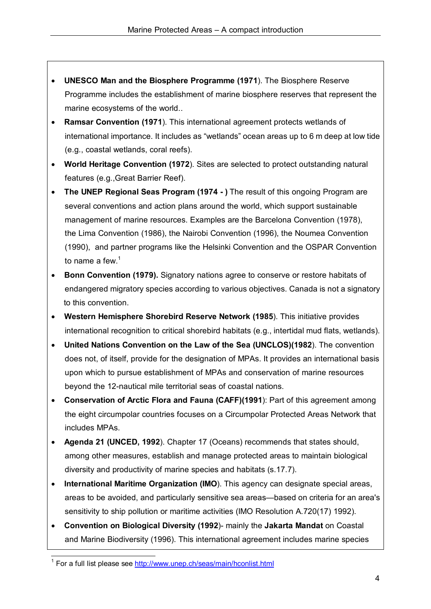- **UNESCO Man and the Biosphere Programme (1971**). The Biosphere Reserve Programme includes the establishment of marine biosphere reserves that represent the marine ecosystems of the world..
- **Ramsar Convention (1971**). This international agreement protects wetlands of international importance. It includes as "wetlands" ocean areas up to 6 m deep at low tide (e.g., coastal wetlands, coral reefs).
- **World Heritage Convention (1972**). Sites are selected to protect outstanding natural features (e.g.,Great Barrier Reef).
- **The UNEP Regional Seas Program (1974 )** The result of this ongoing Program are several conventions and action plans around the world, which support sustainable management of marine resources. Examples are the Barcelona Convention (1978), the Lima Convention (1986), the Nairobi Convention (1996), the Noumea Convention (1990), and partner programs like the Helsinki Convention and the OSPAR Convention to name a few. $1$
- **Bonn Convention (1979).** Signatory nations agree to conserve or restore habitats of endangered migratory species according to various objectives. Canada is not a signatory to this convention.
- **Western Hemisphere Shorebird Reserve Network (1985**). This initiative provides international recognition to critical shorebird habitats (e.g., intertidal mud flats, wetlands).
- **United Nations Convention on the Law of the Sea (UNCLOS)(1982**). The convention does not, of itself, provide for the designation of MPAs. It provides an international basis upon which to pursue establishment of MPAs and conservation of marine resources beyond the 12-nautical mile territorial seas of coastal nations.
- **Conservation of Arctic Flora and Fauna (CAFF)(1991**): Part of this agreement among the eight circumpolar countries focuses on a Circumpolar Protected Areas Network that includes MPAs.
- **Agenda 21 (UNCED, 1992**). Chapter 17 (Oceans) recommends that states should, among other measures, establish and manage protected areas to maintain biological diversity and productivity of marine species and habitats (s.17.7).
- **International Maritime Organization (IMO**). This agency can designate special areas, areas to be avoided, and particularly sensitive sea areas—based on criteria for an area's sensitivity to ship pollution or maritime activities (IMO Resolution A.720(17) 1992).
- **Convention on Biological Diversity (1992**)- mainly the **Jakarta Mandat** on Coastal and Marine Biodiversity (1996). This international agreement includes marine species

<sup>&</sup>lt;sup>1</sup> For a full list please see http://www.unep.ch/seas/main/hconlist.html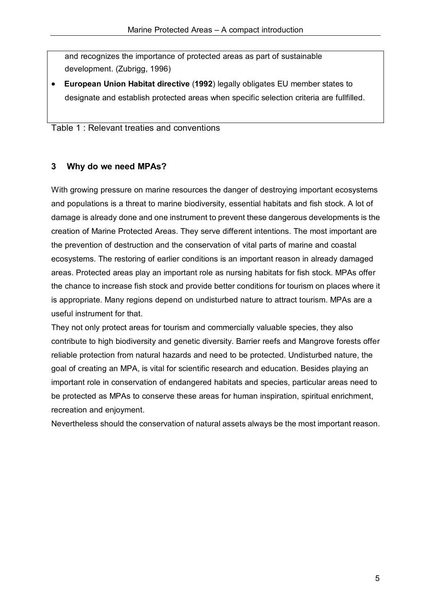and recognizes the importance of protected areas as part of sustainable development. (Zubrigg, 1996)

 **European Union Habitat directive** (**1992**) legally obligates EU member states to designate and establish protected areas when specific selection criteria are fullfilled.

Table 1 : Relevant treaties and conventions

#### **3 Why do we need MPAs?**

With growing pressure on marine resources the danger of destroying important ecosystems and populations is a threat to marine biodiversity, essential habitats and fish stock. A lot of damage is already done and one instrument to prevent these dangerous developments is the creation of Marine Protected Areas. They serve different intentions. The most important are the prevention of destruction and the conservation of vital parts of marine and coastal ecosystems. The restoring of earlier conditions is an important reason in already damaged areas. Protected areas play an important role as nursing habitats for fish stock. MPAs offer the chance to increase fish stock and provide better conditions for tourism on places where it is appropriate. Many regions depend on undisturbed nature to attract tourism. MPAs are a useful instrument for that.

They not only protect areas for tourism and commercially valuable species, they also contribute to high biodiversity and genetic diversity. Barrier reefs and Mangrove forests offer reliable protection from natural hazards and need to be protected. Undisturbed nature, the goal of creating an MPA, is vital for scientific research and education. Besides playing an important role in conservation of endangered habitats and species, particular areas need to be protected as MPAs to conserve these areas for human inspiration, spiritual enrichment, recreation and enjoyment.

Nevertheless should the conservation of natural assets always be the most important reason.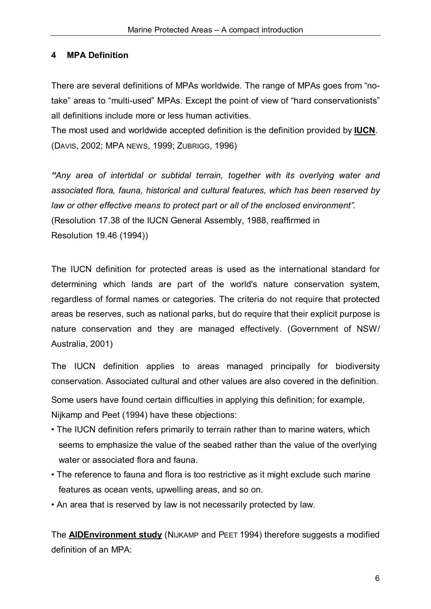# **4 MPA Definition**

There are several definitions of MPAs worldwide. The range of MPAs goes from "notake" areas to "multi-used" MPAs. Except the point of view of "hard conservationists" all definitions include more or less human activities.

The most used and worldwide accepted definition is the definition provided by **IUCN**. (DAVIS, 2002; MPA NEWS, 1999; ZUBRIGG, 1996)

*"Any area of intertidal or subtidal terrain, together with its overlying water and associated flora, fauna, historical and cultural features, which has been reserved by law or other effective means to protect part or all of the enclosed environment".* (Resolution 17.38 of the IUCN General Assembly, 1988, reaffirmed in Resolution 19.46 (1994))

The IUCN definition for protected areas is used as the international standard for determining which lands are part of the world's nature conservation system, regardless of formal names or categories. The criteria do not require that protected areas be reserves, such as national parks, but do require that their explicit purpose is nature conservation and they are managed effectively. (Government of NSW/ Australia, 2001)

The IUCN definition applies to areas managed principally for biodiversity conservation. Associated cultural and other values are also covered in the definition.

Some users have found certain difficulties in applying this definition; for example, Nijkamp and Peet (1994) have these objections:

- The IUCN definition refers primarily to terrain rather than to marine waters, which seems to emphasize the value of the seabed rather than the value of the overlying water or associated flora and fauna.
- The reference to fauna and flora is too restrictive as it might exclude such marine features as ocean vents, upwelling areas, and so on.
- An area that is reserved by law is not necessarily protected by law.

The **AIDEnvironment study** (NIJKAMP and PEET 1994) therefore suggests a modified definition of an MPA: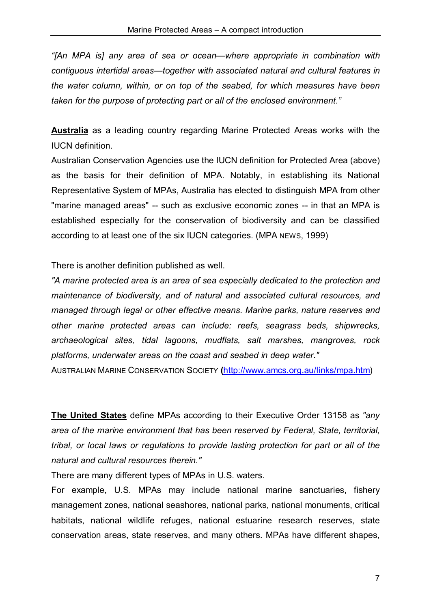*"[An MPA is] any area of sea or ocean—where appropriate in combination with contiguous intertidal areas—together with associated natural and cultural features in the water column, within, or on top of the seabed, for which measures have been taken for the purpose of protecting part or all of the enclosed environment."*

**Australia** as a leading country regarding Marine Protected Areas works with the IUCN definition.

Australian Conservation Agencies use the IUCN definition for Protected Area (above) as the basis for their definition of MPA. Notably, in establishing its National Representative System of MPAs, Australia has elected to distinguish MPA from other "marine managed areas" -- such as exclusive economic zones -- in that an MPA is established especially for the conservation of biodiversity and can be classified according to at least one of the six IUCN categories. (MPA NEWS, 1999)

There is another definition published as well.

*"A marine protected area is an area of sea especially dedicated to the protection and maintenance of biodiversity, and of natural and associated cultural resources, and managed through legal or other effective means. Marine parks, nature reserves and other marine protected areas can include: reefs, seagrass beds, shipwrecks, archaeological sites, tidal lagoons, mudflats, salt marshes, mangroves, rock platforms, underwater areas on the coast and seabed in deep water."*

AUSTRALIAN MARINE CONSERVATION SOCIETY **(**[http://www.amcs.org.au/links/mpa.htm\)](HTTP://WWW.AMCS.ORG.AU/LINKS/MPA.HTM)

**The United States** define MPAs according to their Executive Order 13158 as *"any area of the marine environment that has been reserved by Federal, State, territorial, tribal, or local laws or regulations to provide lasting protection for part or all of the natural and cultural resources therein."* 

There are many different types of MPAs in U.S. waters.

For example, U.S. MPAs may include national marine sanctuaries, fishery management zones, national seashores, national parks, national monuments, critical habitats, national wildlife refuges, national estuarine research reserves, state conservation areas, state reserves, and many others. MPAs have different shapes,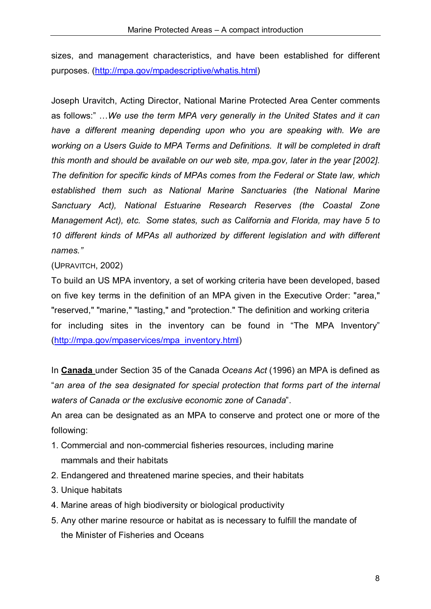sizes, and management characteristics, and have been established for different purposes. [\(http://mpa.gov/mpadescriptive/whatis.html](HTTP://MPA.GOV/MPADESCRIPTIVE/WHATIS.HTML))

Joseph Uravitch, Acting Director, National Marine Protected Area Center comments as follows:" …*We use the term MPA very generally in the United States and it can have a different meaning depending upon who you are speaking with. We are working on a Users Guide to MPA Terms and Definitions. It will be completed in draft this month and should be available on our web site, mpa.gov, later in the year [2002]. The definition for specific kinds of MPAs comes from the Federal or State law, which established them such as National Marine Sanctuaries (the National Marine Sanctuary Act), National Estuarine Research Reserves (the Coastal Zone Management Act), etc. Some states, such as California and Florida, may have 5 to 10 different kinds of MPAs all authorized by different legislation and with different names."*

(UPRAVITCH, 2002)

To build an US MPA inventory, a set of working criteria have been developed, based on five key terms in the definition of an MPA given in the Executive Order: "area," "reserved," "marine," "lasting," and "protection." The definition and working criteria for including sites in the inventory can be found in "The MPA Inventory" [\(http://mpa.gov/mpaservices/mpa\\_inventory.html](HTTP://MPA.GOV/MPASERVICES/MPA_INVENTORY.HTML))

In **Canada** under Section 35 of the Canada *Oceans Act* (1996) an MPA is defined as "*an area of the sea designated for special protection that forms part of the internal waters of Canada or the exclusive economic zone of Canada*".

An area can be designated as an MPA to conserve and protect one or more of the following:

- 1. Commercial and non-commercial fisheries resources, including marine mammals and their habitats
- 2. Endangered and threatened marine species, and their habitats
- 3. Unique habitats
- 4. Marine areas of high biodiversity or biological productivity
- 5. Any other marine resource or habitat as is necessary to fulfill the mandate of the Minister of Fisheries and Oceans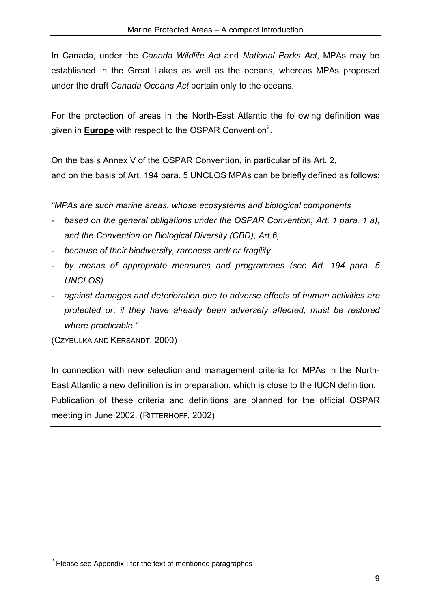In Canada, under the *Canada Wildlife Act* and *National Parks Act*, MPAs may be established in the Great Lakes as well as the oceans, whereas MPAs proposed under the draft *Canada Oceans Act* pertain only to the oceans.

For the protection of areas in the North-East Atlantic the following definition was given in Europe with respect to the OSPAR Convention<sup>2</sup>.

On the basis Annex V of the OSPAR Convention, in particular of its Art. 2, and on the basis of Art. 194 para. 5 UNCLOS MPAs can be briefly defined as follows:

*"MPAs are such marine areas, whose ecosystems and biological components*

- based on the general obligations under the OSPAR Convention, Art. 1 para. 1 a), *and the Convention on Biological Diversity (CBD), Art.6,*
- *because of their biodiversity, rareness and/ or fragility*
- *by means of appropriate measures and programmes (see Art. 194 para. 5 UNCLOS)*
- *against damages and deterioration due to adverse effects of human activities are protected or, if they have already been adversely affected, must be restored where practicable."*

(CZYBULKA AND KERSANDT, 2000)

In connection with new selection and management criteria for MPAs in the North-East Atlantic a new definition is in preparation, which is close to the IUCN definition. Publication of these criteria and definitions are planned for the official OSPAR meeting in June 2002. (RITTERHOFF, 2002)

  $2$  Please see Appendix I for the text of mentioned paragraphes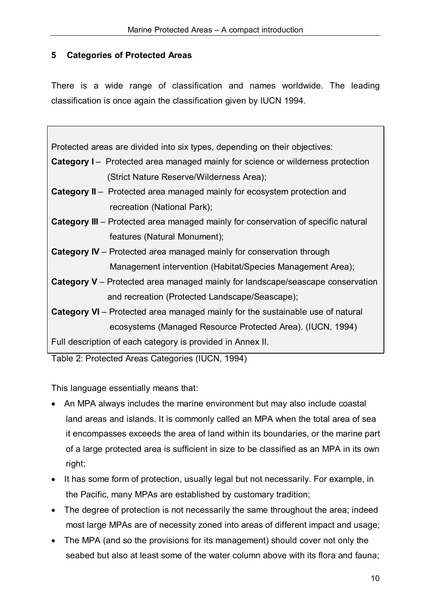# **5 Categories of Protected Areas**

There is a wide range of classification and names worldwide. The leading classification is once again the classification given by IUCN 1994.

Protected areas are divided into six types, depending on their objectives:

- **Category I** Protected area managed mainly for science or wilderness protection (Strict Nature Reserve/Wilderness Area);
- **Category II** Protected area managed mainly for ecosystem protection and recreation (National Park);
- **Category III** Protected area managed mainly for conservation of specific natural features (Natural Monument);
- **Category IV** Protected area managed mainly for conservation through Management intervention (Habitat/Species Management Area);
- **Category V** Protected area managed mainly for landscape/seascape conservation and recreation (Protected Landscape/Seascape);

**Category VI** – Protected area managed mainly for the sustainable use of natural ecosystems (Managed Resource Protected Area). (IUCN, 1994)

Full description of each category is provided in Annex II.

Table 2: Protected Areas Categories (IUCN, 1994)

This language essentially means that:

- An MPA always includes the marine environment but may also include coastal land areas and islands. It is commonly called an MPA when the total area of sea it encompasses exceeds the area of land within its boundaries, or the marine part of a large protected area is sufficient in size to be classified as an MPA in its own right;
- It has some form of protection, usually legal but not necessarily. For example, in the Pacific, many MPAs are established by customary tradition;
- The degree of protection is not necessarily the same throughout the area; indeed most large MPAs are of necessity zoned into areas of different impact and usage;
- The MPA (and so the provisions for its management) should cover not only the seabed but also at least some of the water column above with its flora and fauna;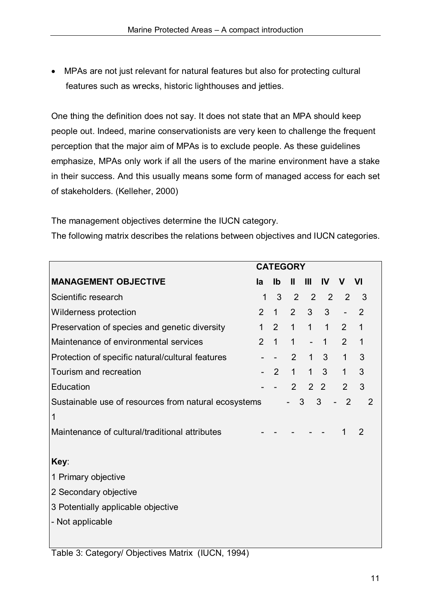MPAs are not just relevant for natural features but also for protecting cultural features such as wrecks, historic lighthouses and jetties.

One thing the definition does not say. It does not state that an MPA should keep people out. Indeed, marine conservationists are very keen to challenge the frequent perception that the major aim of MPAs is to exclude people. As these guidelines emphasize, MPAs only work if all the users of the marine environment have a stake in their success. And this usually means some form of managed access for each set of stakeholders. (Kelleher, 2000)

The management objectives determine the IUCN category.

The following matrix describes the relations between objectives and IUCN categories.

|                                                      | <b>CATEGORY</b> |                |                |                |                 |                            |              |
|------------------------------------------------------|-----------------|----------------|----------------|----------------|-----------------|----------------------------|--------------|
| <b>MANAGEMENT OBJECTIVE</b>                          | la              | Ib             | Ш              | III            | $\mathsf{IV}^-$ | v                          | VI           |
| Scientific research                                  | 1               | 3              | $2^{\circ}$    | $\overline{2}$ | $\overline{2}$  | $\overline{\phantom{0}}^2$ | 3            |
| Wilderness protection                                | $\overline{2}$  | $\mathbf{1}$   | $2^{\circ}$    | 3 <sup>7</sup> | 3 <sup>7</sup>  |                            | 2            |
| Preservation of species and genetic diversity        | $\mathbf{1}$    | $2^{\circ}$    | 1              | $\mathbf{1}$   | $\mathbf{1}$    | $\overline{2}$             | $\mathbf{1}$ |
| Maintenance of environmental services                | $\overline{2}$  | $\mathbf{1}$   | 1              | $\overline{a}$ | $\mathbf{1}$    | $\overline{2}$             | $\mathbf{1}$ |
| Protection of specific natural/cultural features     |                 |                | $2^{\circ}$    | 1              | 3               | $\mathbf{1}$               | 3            |
| Tourism and recreation                               |                 | $\overline{2}$ | 1 <sup>1</sup> |                | $1 \quad 3$     | $\mathbf{1}$               | 3            |
| Education                                            |                 |                | 2 <sup>7</sup> |                | $2\quad 2$      | 2 <sup>1</sup>             | 3            |
| Sustainable use of resources from natural ecosystems |                 |                | 3              |                | 3               | 2                          | 2            |
|                                                      |                 |                |                |                |                 |                            |              |
| Maintenance of cultural/traditional attributes       |                 |                |                |                |                 | 1                          | 2            |
|                                                      |                 |                |                |                |                 |                            |              |
| Key:                                                 |                 |                |                |                |                 |                            |              |
| 1 Primary objective                                  |                 |                |                |                |                 |                            |              |
| 2 Secondary objective                                |                 |                |                |                |                 |                            |              |
| 3 Potentially applicable objective                   |                 |                |                |                |                 |                            |              |
| - Not applicable                                     |                 |                |                |                |                 |                            |              |
|                                                      |                 |                |                |                |                 |                            |              |

Table 3: Category/ Objectives Matrix (IUCN, 1994)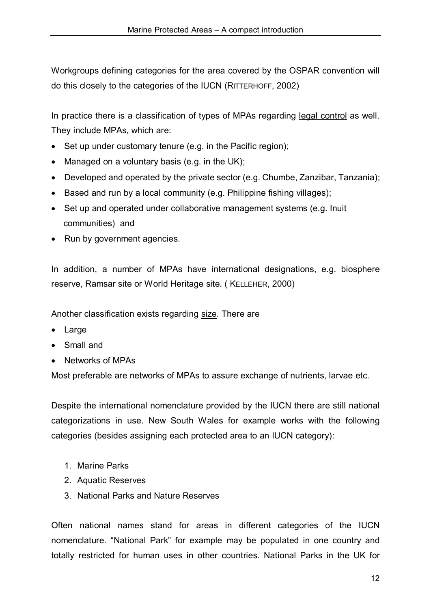Workgroups defining categories for the area covered by the OSPAR convention will do this closely to the categories of the IUCN (RITTERHOFF, 2002)

In practice there is a classification of types of MPAs regarding legal control as well. They include MPAs, which are:

- $\bullet$  Set up under customary tenure (e.g. in the Pacific region);
- Managed on a voluntary basis (e.g. in the UK);
- Developed and operated by the private sector (e.g. Chumbe, Zanzibar, Tanzania);
- Based and run by a local community (e.g. Philippine fishing villages);
- Set up and operated under collaborative management systems (e.g. Inuit communities) and
- Run by government agencies.

In addition, a number of MPAs have international designations, e.g. biosphere reserve, Ramsar site or World Heritage site. ( KELLEHER, 2000)

Another classification exists regarding size. There are

- Large
- Small and
- Networks of MPAs

Most preferable are networks of MPAs to assure exchange of nutrients, larvae etc.

Despite the international nomenclature provided by the IUCN there are still national categorizations in use. New South Wales for example works with the following categories (besides assigning each protected area to an IUCN category):

- 1. Marine Parks
- 2. Aquatic Reserves
- 3. National Parks and Nature Reserves

Often national names stand for areas in different categories of the IUCN nomenclature. "National Park" for example may be populated in one country and totally restricted for human uses in other countries. National Parks in the UK for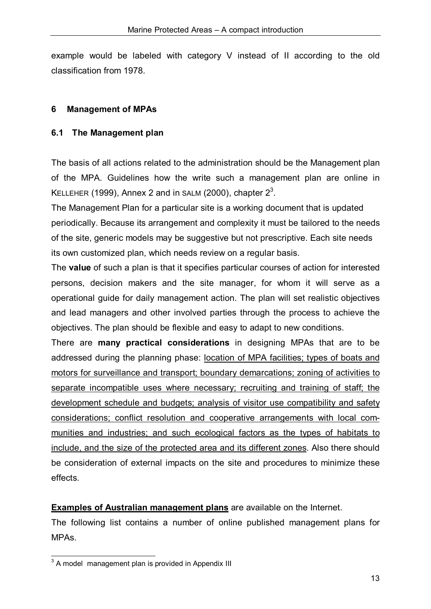example would be labeled with category V instead of II according to the old classification from 1978.

### **6 Management of MPAs**

#### **6.1 The Management plan**

The basis of all actions related to the administration should be the Management plan of the MPA. Guidelines how the write such a management plan are online in KELLEHER (1999), Annex 2 and in SALM (2000), chapter  $2^3$ .

The Management Plan for a particular site is a working document that is updated periodically. Because its arrangement and complexity it must be tailored to the needs of the site, generic models may be suggestive but not prescriptive. Each site needs its own customized plan, which needs review on a regular basis.

The **value** of such a plan is that it specifies particular courses of action for interested persons, decision makers and the site manager, for whom it will serve as a operational guide for daily management action. The plan will set realistic objectives and lead managers and other involved parties through the process to achieve the objectives. The plan should be flexible and easy to adapt to new conditions.

There are **many practical considerations** in designing MPAs that are to be addressed during the planning phase: location of MPA facilities; types of boats and motors for surveillance and transport; boundary demarcations; zoning of activities to separate incompatible uses where necessary; recruiting and training of staff; the development schedule and budgets; analysis of visitor use compatibility and safety considerations; conflict resolution and cooperative arrangements with local communities and industries; and such ecological factors as the types of habitats to include, and the size of the protected area and its different zones. Also there should be consideration of external impacts on the site and procedures to minimize these effects.

# **Examples of Australian management plans** are available on the Internet.

The following list contains a number of online published management plans for MPAs.

<sup>&</sup>lt;u>a</u><br><sup>3</sup> A model management plan is provided in Appendix III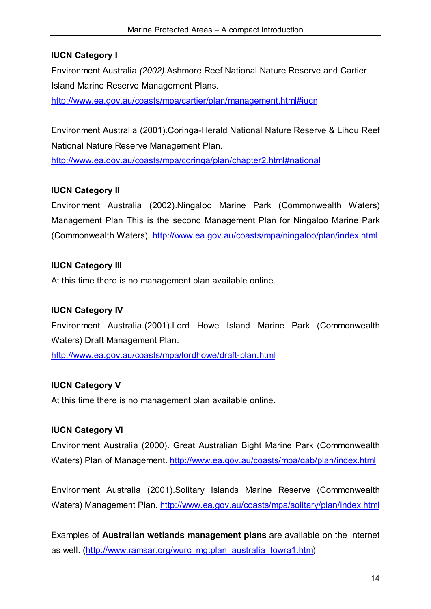# **IUCN Category I**

Environment Australia *(2002).*Ashmore Reef National Nature Reserve and Cartier Island Marine Reserve Management Plans.

[http://www.ea.gov.au/coasts/mpa/cartier/plan/management.html#iucn](HTTP://WWW.EA.GOV.AU/COASTS/MPA/CARTIER/PLAN/MANAGEMENT.HTML)

Environment Australia (2001).Coringa-Herald National Nature Reserve & Lihou Reef National Nature Reserve Management Plan.

[http://www.ea.gov.au/coasts/mpa/coringa/plan/chapter2.html#national](HTTP://WWW.EA.GOV.AU/COASTS/MPA/CORINGA/PLAN/CHAPTER2.HTML)

# **IUCN Category II**

Environment Australia (2002).Ningaloo Marine Park (Commonwealth Waters) Management Plan This is the second Management Plan for Ningaloo Marine Park (Commonwealth Waters). [http://www.ea.gov.au/coasts/mpa/ningaloo/plan/index.html](HTTP://WWW.EA.GOV.AU/COASTS/MPA/NINGALOO/PLAN/INDEX.HTML)

# **IUCN Category III**

At this time there is no management plan available online.

# **IUCN Category IV**

Environment Australia.(2001).Lord Howe Island Marine Park (Commonwealth Waters) Draft Management Plan.

[http://www.ea.gov.au/coasts/mpa/lordhowe/draft-plan.html](HTTP://WWW.EA.GOV.AU/COASTS/MPA/LORDHOWE/DRAFT-PLAN.HTML)

# **IUCN Category V**

At this time there is no management plan available online.

# **IUCN Category VI**

Environment Australia (2000). Great Australian Bight Marine Park (Commonwealth Waters) Plan of Management. [http://www.ea.gov.au/coasts/mpa/gab/plan/index.html](HTTP://WWW.EA.GOV.AU/COASTS/MPA/GAB/PLAN/INDEX.HTML)

Environment Australia (2001).Solitary Islands Marine Reserve (Commonwealth Waters) Management Plan. [http://www.ea.gov.au/coasts/mpa/solitary/plan/index.html](HTTP://WWW.EA.GOV.AU/COASTS/MPA/SOLITARY/PLAN/INDEX.HTML)

Examples of **Australian wetlands management plans** are available on the Internet as well. [\(http://www.ramsar.org/wurc\\_mgtplan\\_australia\\_towra1.htm\)](HTTP://WWW.RAMSAR.ORG/WURC_MGTPLAN_AUSTRALIA_TOWRA1.HTM)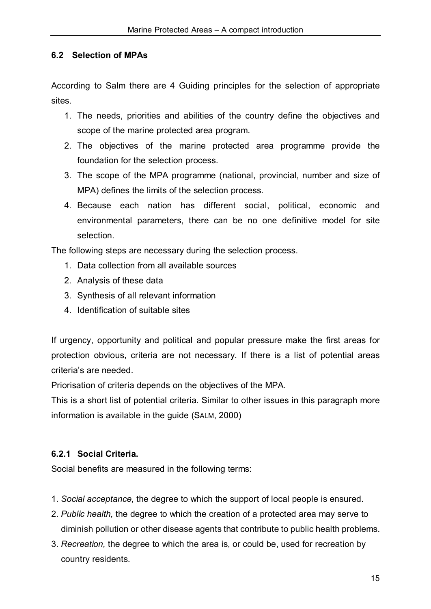# **6.2 Selection of MPAs**

According to Salm there are 4 Guiding principles for the selection of appropriate sites.

- 1. The needs, priorities and abilities of the country define the objectives and scope of the marine protected area program.
- 2. The objectives of the marine protected area programme provide the foundation for the selection process.
- 3. The scope of the MPA programme (national, provincial, number and size of MPA) defines the limits of the selection process.
- 4. Because each nation has different social, political, economic and environmental parameters, there can be no one definitive model for site selection.

The following steps are necessary during the selection process.

- 1. Data collection from all available sources
- 2. Analysis of these data
- 3. Synthesis of all relevant information
- 4. Identification of suitable sites

If urgency, opportunity and political and popular pressure make the first areas for protection obvious, criteria are not necessary. If there is a list of potential areas criteria's are needed.

Priorisation of criteria depends on the objectives of the MPA.

This is a short list of potential criteria. Similar to other issues in this paragraph more information is available in the guide (SALM, 2000)

# **6.2.1 Social Criteria.**

Social benefits are measured in the following terms:

- 1. *Social acceptance,* the degree to which the support of local people is ensured.
- 2. *Public health,* the degree to which the creation of a protected area may serve to diminish pollution or other disease agents that contribute to public health problems.
- 3. *Recreation,* the degree to which the area is, or could be, used for recreation by country residents.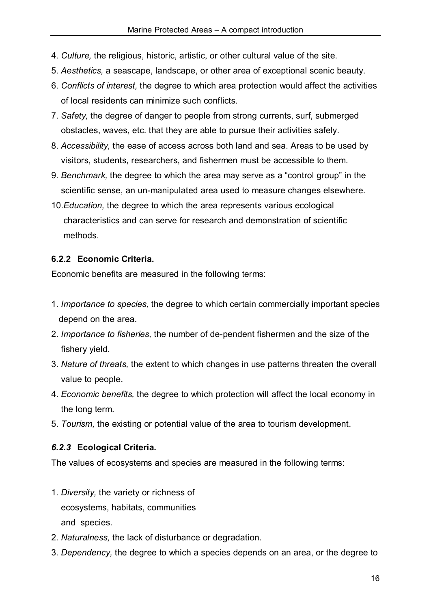- 4. *Culture,* the religious, historic, artistic, or other cultural value of the site.
- 5. *Aesthetics,* a seascape, landscape, or other area of exceptional scenic beauty.
- 6. *Conflicts of interest,* the degree to which area protection would affect the activities of local residents can minimize such conflicts.
- 7. *Safety,* the degree of danger to people from strong currents, surf, submerged obstacles, waves, etc. that they are able to pursue their activities safely.
- 8. *Accessibility,* the ease of access across both land and sea. Areas to be used by visitors, students, researchers, and fishermen must be accessible to them.
- 9. *Benchmark,* the degree to which the area may serve as a "control group" in the scientific sense, an un-manipulated area used to measure changes elsewhere.
- 10.*Education,* the degree to which the area represents various ecological characteristics and can serve for research and demonstration of scientific methods.

# **6.2.2 Economic Criteria.**

Economic benefits are measured in the following terms:

- 1. *Importance to species,* the degree to which certain commercially important species depend on the area.
- 2. *Importance to fisheries,* the number of de-pendent fishermen and the size of the fishery yield.
- 3. *Nature of threats,* the extent to which changes in use patterns threaten the overall value to people.
- 4. *Economic benefits,* the degree to which protection will affect the local economy in the long term.
- 5. *Tourism,* the existing or potential value of the area to tourism development.

# *6.2.3* **Ecological Criteria***.*

The values of ecosystems and species are measured in the following terms:

- 1. *Diversity,* the variety or richness of ecosystems, habitats, communities and species.
- 2. *Naturalness,* the lack of disturbance or degradation.
- 3. *Dependency,* the degree to which a species depends on an area, or the degree to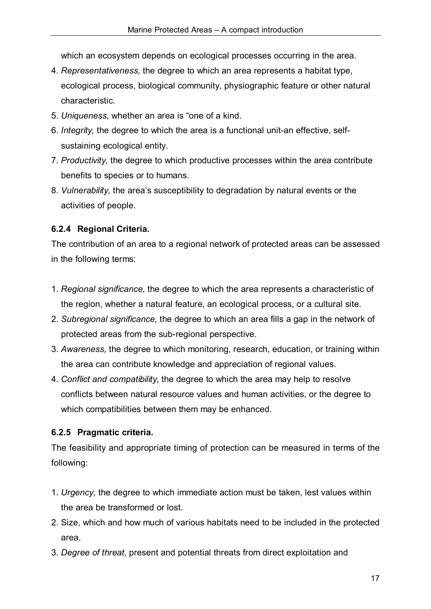which an ecosystem depends on ecological processes occurring in the area.

- 4. *Representativeness,* the degree to which an area represents a habitat type, ecological process, biological community, physiographic feature or other natural characteristic.
- 5. *Uniqueness,* whether an area is "one of a kind.
- 6. *Integrity,* the degree to which the area is a functional unit-an effective, self sustaining ecological entity.
- 7. *Productivity,* the degree to which productive processes within the area contribute benefits to species or to humans.
- 8. *Vulnerability,* the area's susceptibility to degradation by natural events or the activities of people.

# **6.2.4 Regional Criteria.**

The contribution of an area to a regional network of protected areas can be assessed in the following terms:

- 1. *Regional significance,* the degree to which the area represents a characteristic of the region, whether a natural feature, an ecological process, or a cultural site.
- 2. *Subregional significance,* the degree to which an area fills a gap in the network of protected areas from the sub-regional perspective.
- 3. *Awareness,* the degree to which monitoring, research, education, or training within the area can contribute knowledge and appreciation of regional values.
- 4. *Conflict and compatibility,* the degree to which the area may help to resolve conflicts between natural resource values and human activities, or the degree to which compatibilities between them may be enhanced.

# **6.2.5 Pragmatic criteria.**

The feasibility and appropriate timing of protection can be measured in terms of the following:

- 1. *Urgency,* the degree to which immediate action must be taken, lest values within the area be transformed or lost.
- 2. Size, which and how much of various habitats need to be included in the protected area.
- 3. *Degree of threat,* present and potential threats from direct exploitation and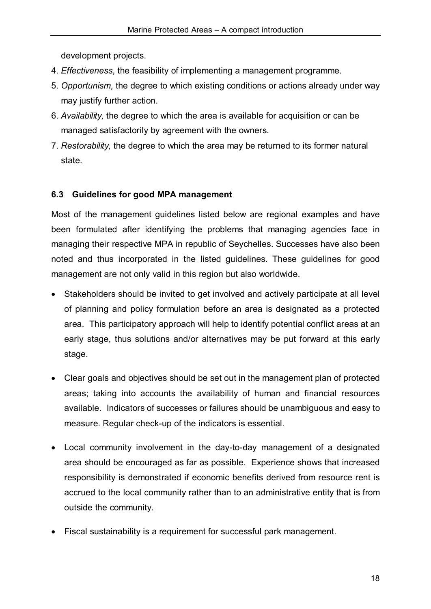development projects.

- 4. *Effectiveness*, the feasibility of implementing a management programme.
- 5. *Opportunism,* the degree to which existing conditions or actions already under way may justify further action.
- 6. *Availability,* the degree to which the area is available for acquisition or can be managed satisfactorily by agreement with the owners.
- 7. *Restorability,* the degree to which the area may be returned to its former natural state.

# **6.3 Guidelines for good MPA management**

Most of the management guidelines listed below are regional examples and have been formulated after identifying the problems that managing agencies face in managing their respective MPA in republic of Seychelles. Successes have also been noted and thus incorporated in the listed guidelines. These guidelines for good management are not only valid in this region but also worldwide.

- Stakeholders should be invited to get involved and actively participate at all level of planning and policy formulation before an area is designated as a protected area. This participatory approach will help to identify potential conflict areas at an early stage, thus solutions and/or alternatives may be put forward at this early stage.
- Clear goals and objectives should be set out in the management plan of protected areas; taking into accounts the availability of human and financial resources available. Indicators of successes or failures should be unambiguous and easy to measure. Regular check-up of the indicators is essential.
- Local community involvement in the day-to-day management of a designated area should be encouraged as far as possible. Experience shows that increased responsibility is demonstrated if economic benefits derived from resource rent is accrued to the local community rather than to an administrative entity that is from outside the community.
- Fiscal sustainability is a requirement for successful park management.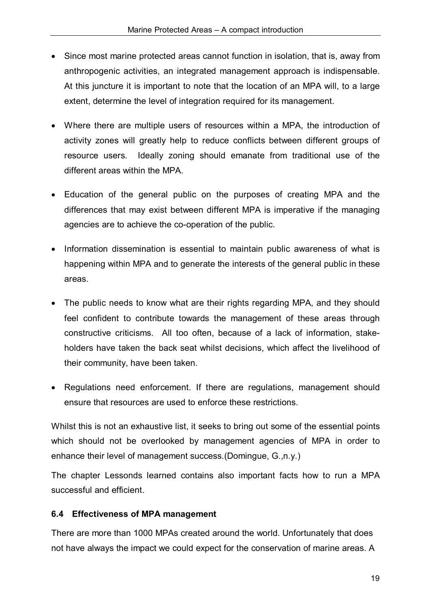- Since most marine protected areas cannot function in isolation, that is, away from anthropogenic activities, an integrated management approach is indispensable. At this juncture it is important to note that the location of an MPA will, to a large extent, determine the level of integration required for its management.
- Where there are multiple users of resources within a MPA, the introduction of activity zones will greatly help to reduce conflicts between different groups of resource users. Ideally zoning should emanate from traditional use of the different areas within the MPA.
- Education of the general public on the purposes of creating MPA and the differences that may exist between different MPA is imperative if the managing agencies are to achieve the co-operation of the public.
- Information dissemination is essential to maintain public awareness of what is happening within MPA and to generate the interests of the general public in these areas.
- The public needs to know what are their rights regarding MPA, and they should feel confident to contribute towards the management of these areas through constructive criticisms. All too often, because of a lack of information, stakeholders have taken the back seat whilst decisions, which affect the livelihood of their community, have been taken.
- Regulations need enforcement. If there are regulations, management should ensure that resources are used to enforce these restrictions.

Whilst this is not an exhaustive list, it seeks to bring out some of the essential points which should not be overlooked by management agencies of MPA in order to enhance their level of management success.(Domingue, G.,n.y.)

The chapter Lessonds learned contains also important facts how to run a MPA successful and efficient.

# **6.4 Effectiveness of MPA management**

There are more than 1000 MPAs created around the world. Unfortunately that does not have always the impact we could expect for the conservation of marine areas. A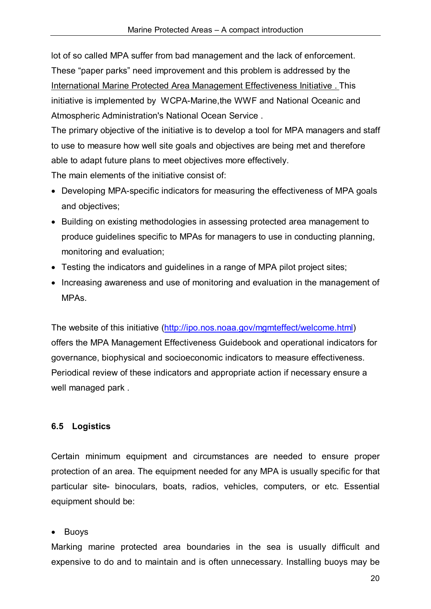lot of so called MPA suffer from bad management and the lack of enforcement. These "paper parks" need improvement and this problem is addressed by the International Marine Protected Area Management Effectiveness Initiative . This initiative is implemented by WCPA-Marine,the WWF and National Oceanic and Atmospheric Administration's National Ocean Service .

The primary objective of the initiative is to develop a tool for MPA managers and staff to use to measure how well site goals and objectives are being met and therefore able to adapt future plans to meet objectives more effectively.

The main elements of the initiative consist of:

- Developing MPA-specific indicators for measuring the effectiveness of MPA goals and objectives;
- Building on existing methodologies in assessing protected area management to produce guidelines specific to MPAs for managers to use in conducting planning, monitoring and evaluation;
- Testing the indicators and guidelines in a range of MPA pilot project sites;
- Increasing awareness and use of monitoring and evaluation in the management of MPAs.

The website of this initiative [\(http://ipo.nos.noaa.gov/mgmteffect/welcome.html](HTTP://IPO.NOS.NOAA.GOV/MGMTEFFECT/WELCOME.HTML)) offers the MPA Management Effectiveness Guidebook and operational indicators for governance, biophysical and socioeconomic indicators to measure effectiveness. Periodical review of these indicators and appropriate action if necessary ensure a well managed park .

# **6.5 Logistics**

Certain minimum equipment and circumstances are needed to ensure proper protection of an area. The equipment needed for any MPA is usually specific for that particular site- binoculars, boats, radios, vehicles, computers, or etc. Essential equipment should be:

#### • Buoys

Marking marine protected area boundaries in the sea is usually difficult and expensive to do and to maintain and is often unnecessary. Installing buoys may be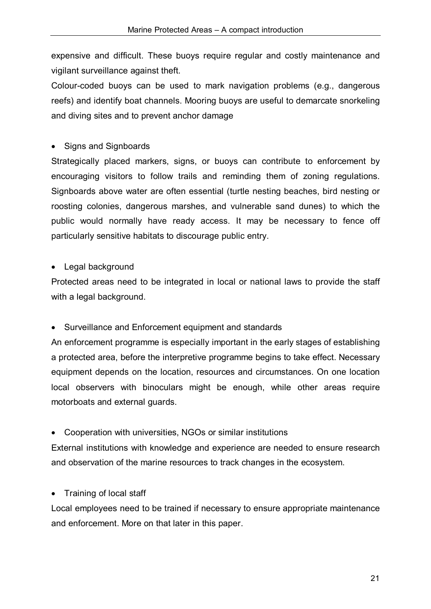expensive and difficult. These buoys require regular and costly maintenance and vigilant surveillance against theft.

Colour-coded buoys can be used to mark navigation problems (e.g., dangerous reefs) and identify boat channels. Mooring buoys are useful to demarcate snorkeling and diving sites and to prevent anchor damage

• Signs and Signboards

Strategically placed markers, signs, or buoys can contribute to enforcement by encouraging visitors to follow trails and reminding them of zoning regulations. Signboards above water are often essential (turtle nesting beaches, bird nesting or roosting colonies, dangerous marshes, and vulnerable sand dunes) to which the public would normally have ready access. It may be necessary to fence off particularly sensitive habitats to discourage public entry.

• Legal background

Protected areas need to be integrated in local or national laws to provide the staff with a legal background.

Surveillance and Enforcement equipment and standards

An enforcement programme is especially important in the early stages of establishing a protected area, before the interpretive programme begins to take effect. Necessary equipment depends on the location, resources and circumstances. On one location local observers with binoculars might be enough, while other areas require motorboats and external guards.

Cooperation with universities, NGOs or similar institutions

External institutions with knowledge and experience are needed to ensure research and observation of the marine resources to track changes in the ecosystem.

• Training of local staff

Local employees need to be trained if necessary to ensure appropriate maintenance and enforcement. More on that later in this paper.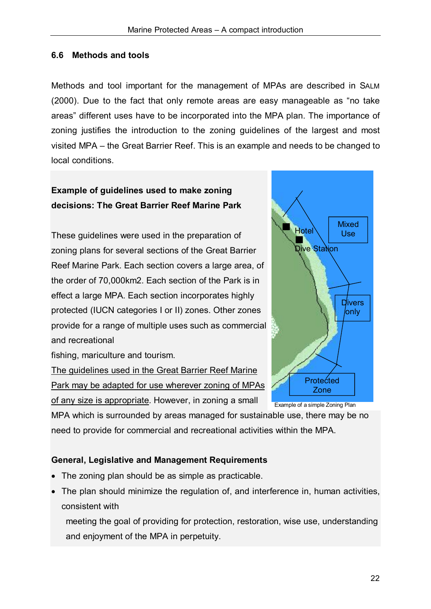# **6.6 Methods and tools**

Methods and tool important for the management of MPAs are described in SALM (2000). Due to the fact that only remote areas are easy manageable as "no take areas" different uses have to be incorporated into the MPA plan. The importance of zoning justifies the introduction to the zoning guidelines of the largest and most visited MPA – the Great Barrier Reef. This is an example and needs to be changed to local conditions.

# **Example of guidelines used to make zoning decisions: The Great Barrier Reef Marine Park**

These guidelines were used in the preparation of zoning plans for several sections of the Great Barrier Reef Marine Park. Each section covers a large area, of the order of 70,000km2. Each section of the Park is in effect a large MPA. Each section incorporates highly protected (IUCN categories I or II) zones. Other zones provide for a range of multiple uses such as commercial and recreational

fishing, mariculture and tourism.

The guidelines used in the Great Barrier Reef Marine Park may be adapted for use wherever zoning of MPAs

of any size is appropriate. However, in zoning a small



Example of a simple Zoning Plan

MPA which is surrounded by areas managed for sustainable use, there may be no need to provide for commercial and recreational activities within the MPA.

# **General, Legislative and Management Requirements**

- The zoning plan should be as simple as practicable.
- The plan should minimize the regulation of, and interference in, human activities, consistent with

 meeting the goal of providing for protection, restoration, wise use, understanding and enjoyment of the MPA in perpetuity.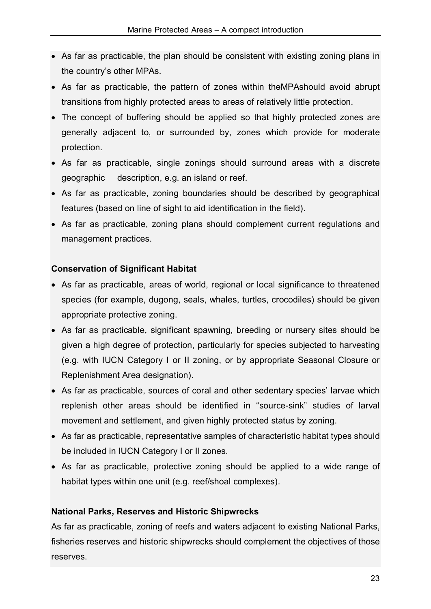- As far as practicable, the plan should be consistent with existing zoning plans in the country's other MPAs.
- As far as practicable, the pattern of zones within theMPAshould avoid abrupt transitions from highly protected areas to areas of relatively little protection.
- The concept of buffering should be applied so that highly protected zones are generally adjacent to, or surrounded by, zones which provide for moderate protection.
- As far as practicable, single zonings should surround areas with a discrete geographic description, e.g. an island or reef.
- As far as practicable, zoning boundaries should be described by geographical features (based on line of sight to aid identification in the field).
- As far as practicable, zoning plans should complement current regulations and management practices.

# **Conservation of Significant Habitat**

- As far as practicable, areas of world, regional or local significance to threatened species (for example, dugong, seals, whales, turtles, crocodiles) should be given appropriate protective zoning.
- As far as practicable, significant spawning, breeding or nursery sites should be given a high degree of protection, particularly for species subjected to harvesting (e.g. with IUCN Category I or II zoning, or by appropriate Seasonal Closure or Replenishment Area designation).
- As far as practicable, sources of coral and other sedentary species' larvae which replenish other areas should be identified in "source-sink" studies of larval movement and settlement, and given highly protected status by zoning.
- As far as practicable, representative samples of characteristic habitat types should be included in IUCN Category I or II zones.
- As far as practicable, protective zoning should be applied to a wide range of habitat types within one unit (e.g. reef/shoal complexes).

# **National Parks, Reserves and Historic Shipwrecks**

As far as practicable, zoning of reefs and waters adjacent to existing National Parks, fisheries reserves and historic shipwrecks should complement the objectives of those reserves.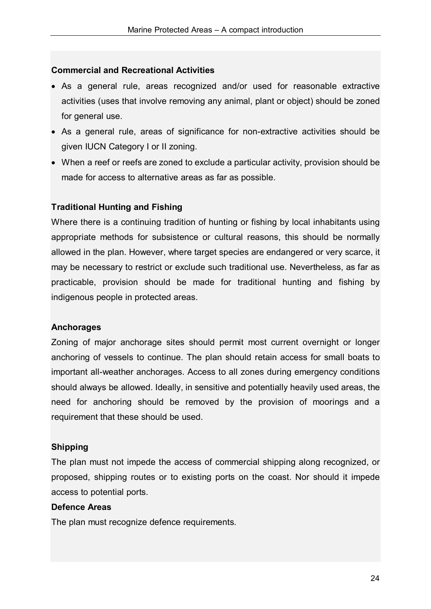### **Commercial and Recreational Activities**

- As a general rule, areas recognized and/or used for reasonable extractive activities (uses that involve removing any animal, plant or object) should be zoned for general use.
- As a general rule, areas of significance for non-extractive activities should be given IUCN Category I or II zoning.
- When a reef or reefs are zoned to exclude a particular activity, provision should be made for access to alternative areas as far as possible.

#### **Traditional Hunting and Fishing**

Where there is a continuing tradition of hunting or fishing by local inhabitants using appropriate methods for subsistence or cultural reasons, this should be normally allowed in the plan. However, where target species are endangered or very scarce, it may be necessary to restrict or exclude such traditional use. Nevertheless, as far as practicable, provision should be made for traditional hunting and fishing by indigenous people in protected areas.

# **Anchorages**

Zoning of major anchorage sites should permit most current overnight or longer anchoring of vessels to continue. The plan should retain access for small boats to important all-weather anchorages. Access to all zones during emergency conditions should always be allowed. Ideally, in sensitive and potentially heavily used areas, the need for anchoring should be removed by the provision of moorings and a requirement that these should be used.

# **Shipping**

The plan must not impede the access of commercial shipping along recognized, or proposed, shipping routes or to existing ports on the coast. Nor should it impede access to potential ports.

#### **Defence Areas**

The plan must recognize defence requirements.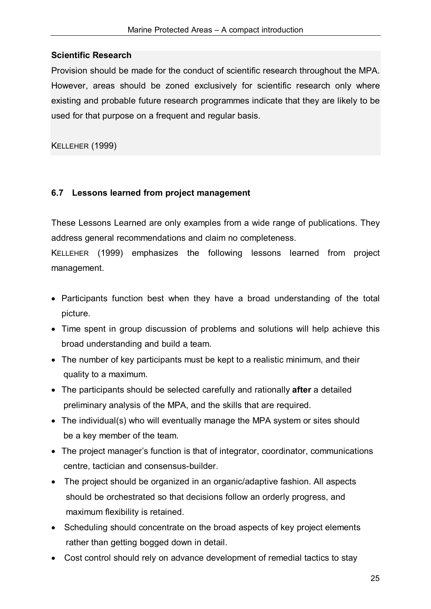# **Scientific Research**

Provision should be made for the conduct of scientific research throughout the MPA. However, areas should be zoned exclusively for scientific research only where existing and probable future research programmes indicate that they are likely to be used for that purpose on a frequent and regular basis.

KELLEHER (1999)

# **6.7 Lessons learned from project management**

These Lessons Learned are only examples from a wide range of publications. They address general recommendations and claim no completeness.

KELLEHER (1999) emphasizes the following lessons learned from project management.

- Participants function best when they have a broad understanding of the total picture.
- Time spent in group discussion of problems and solutions will help achieve this broad understanding and build a team.
- The number of key participants must be kept to a realistic minimum, and their quality to a maximum.
- The participants should be selected carefully and rationally **after** a detailed preliminary analysis of the MPA, and the skills that are required.
- The individual(s) who will eventually manage the MPA system or sites should be a key member of the team.
- The project manager's function is that of integrator, coordinator, communications centre, tactician and consensus-builder.
- The project should be organized in an organic/adaptive fashion. All aspects should be orchestrated so that decisions follow an orderly progress, and maximum flexibility is retained.
- Scheduling should concentrate on the broad aspects of key project elements rather than getting bogged down in detail.
- Cost control should rely on advance development of remedial tactics to stay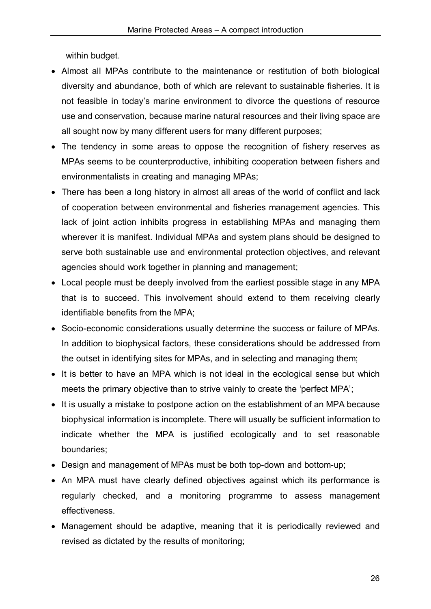within budget.

- Almost all MPAs contribute to the maintenance or restitution of both biological diversity and abundance, both of which are relevant to sustainable fisheries. It is not feasible in today's marine environment to divorce the questions of resource use and conservation, because marine natural resources and their living space are all sought now by many different users for many different purposes;
- The tendency in some areas to oppose the recognition of fishery reserves as MPAs seems to be counterproductive, inhibiting cooperation between fishers and environmentalists in creating and managing MPAs;
- There has been a long history in almost all areas of the world of conflict and lack of cooperation between environmental and fisheries management agencies. This lack of joint action inhibits progress in establishing MPAs and managing them wherever it is manifest. Individual MPAs and system plans should be designed to serve both sustainable use and environmental protection objectives, and relevant agencies should work together in planning and management;
- Local people must be deeply involved from the earliest possible stage in any MPA that is to succeed. This involvement should extend to them receiving clearly identifiable benefits from the MPA;
- Socio-economic considerations usually determine the success or failure of MPAs. In addition to biophysical factors, these considerations should be addressed from the outset in identifying sites for MPAs, and in selecting and managing them;
- It is better to have an MPA which is not ideal in the ecological sense but which meets the primary objective than to strive vainly to create the 'perfect MPA';
- It is usually a mistake to postpone action on the establishment of an MPA because biophysical information is incomplete. There will usually be sufficient information to indicate whether the MPA is justified ecologically and to set reasonable boundaries;
- Design and management of MPAs must be both top-down and bottom-up;
- An MPA must have clearly defined objectives against which its performance is regularly checked, and a monitoring programme to assess management effectiveness.
- Management should be adaptive, meaning that it is periodically reviewed and revised as dictated by the results of monitoring;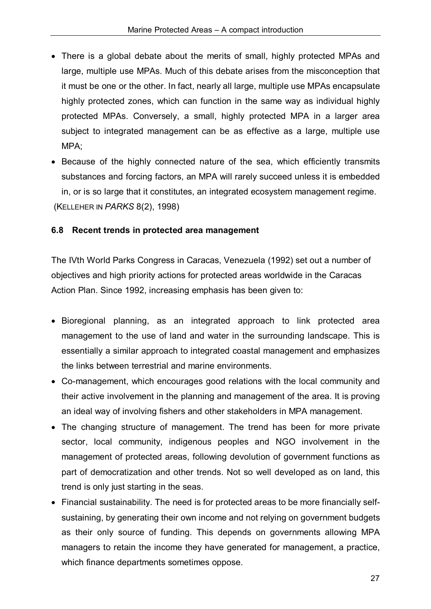- There is a global debate about the merits of small, highly protected MPAs and large, multiple use MPAs. Much of this debate arises from the misconception that it must be one or the other. In fact, nearly all large, multiple use MPAs encapsulate highly protected zones, which can function in the same way as individual highly protected MPAs. Conversely, a small, highly protected MPA in a larger area subject to integrated management can be as effective as a large, multiple use MPA;
- Because of the highly connected nature of the sea, which efficiently transmits substances and forcing factors, an MPA will rarely succeed unless it is embedded in, or is so large that it constitutes, an integrated ecosystem management regime. (KELLEHER IN *PARKS* 8(2), 1998)

# **6.8 Recent trends in protected area management**

The IVth World Parks Congress in Caracas, Venezuela (1992) set out a number of objectives and high priority actions for protected areas worldwide in the Caracas Action Plan. Since 1992, increasing emphasis has been given to:

- Bioregional planning, as an integrated approach to link protected area management to the use of land and water in the surrounding landscape. This is essentially a similar approach to integrated coastal management and emphasizes the links between terrestrial and marine environments.
- Co-management, which encourages good relations with the local community and their active involvement in the planning and management of the area. It is proving an ideal way of involving fishers and other stakeholders in MPA management.
- The changing structure of management. The trend has been for more private sector, local community, indigenous peoples and NGO involvement in the management of protected areas, following devolution of government functions as part of democratization and other trends. Not so well developed as on land, this trend is only just starting in the seas.
- Financial sustainability. The need is for protected areas to be more financially selfsustaining, by generating their own income and not relying on government budgets as their only source of funding. This depends on governments allowing MPA managers to retain the income they have generated for management, a practice, which finance departments sometimes oppose.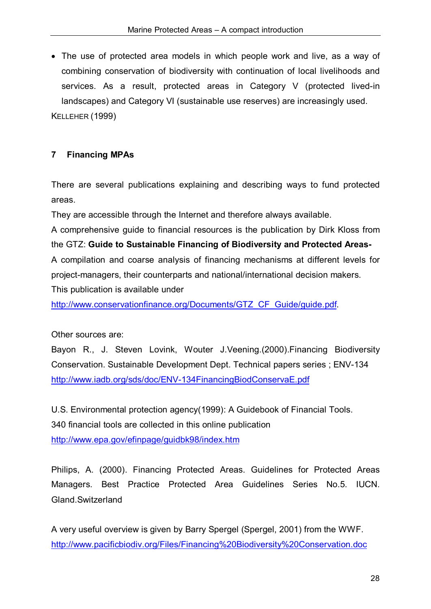The use of protected area models in which people work and live, as a way of combining conservation of biodiversity with continuation of local livelihoods and services. As a result, protected areas in Category V (protected lived-in landscapes) and Category VI (sustainable use reserves) are increasingly used. KELLEHER (1999)

# **7 Financing MPAs**

There are several publications explaining and describing ways to fund protected areas.

They are accessible through the Internet and therefore always available.

A comprehensive guide to financial resources is the publication by Dirk Kloss from the GTZ: **Guide to Sustainable Financing of Biodiversity and Protected Areas-**A compilation and coarse analysis of financing mechanisms at different levels for project-managers, their counterparts and national/international decision makers. This publication is available under

[http://www.conservationfinance.org/Documents/GTZ\\_CF\\_Guide/guide.pdf.](HTTP://WWW.CONSERVATIONFINANCE.ORG/DOCUMENTS/GTZ_CF_GUIDE/GUIDE.PDF)

Other sources are:

Bayon R., J. Steven Lovink, Wouter J.Veening.(2000).Financing Biodiversity Conservation. Sustainable Development Dept. Technical papers series ; ENV-134 [http://www.iadb.org/sds/doc/ENV-134FinancingBiodConservaE.pdf](HTTP://WWW.IADB.ORG/SDS/DOC/ENV-134FINANCINGBIODCONSERVAE.PDF)

U.S. Environmental protection agency(1999): A Guidebook of Financial Tools. 340 financial tools are collected in this online publication [http://www.epa.gov/efinpage/guidbk98/index.htm](HTTP://WWW.EPA.GOV/EFINPAGE/GUIDBK98/INDEX.HTM)

Philips, A. (2000). Financing Protected Areas. Guidelines for Protected Areas Managers. Best Practice Protected Area Guidelines Series No.5. IUCN. Gland.Switzerland

A very useful overview is given by Barry Spergel (Spergel, 2001) from the WWF. [http://www.pacificbiodiv.org/Files/Financing%20Biodiversity%20Conservation.doc](HTTP://WWW.PACIFICBIODIV.ORG/FILES/FINANCING BIODIVERSITY CONSERVATION.DOC)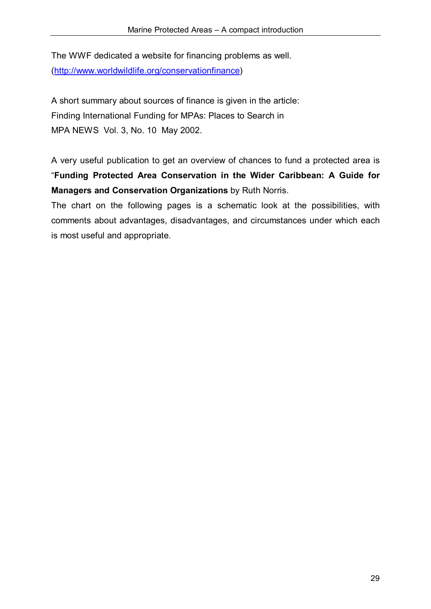The WWF dedicated a website for financing problems as well. [\(http://www.worldwildlife.org/conservationfinance](HTTP://WWW.WORLDWILDLIFE.ORG/CONSERVATIONFINANCE))

A short summary about sources of finance is given in the article: Finding International Funding for MPAs: Places to Search in MPA NEWS Vol. 3, No. 10 May 2002.

A very useful publication to get an overview of chances to fund a protected area is "**Funding Protected Area Conservation in the Wider Caribbean: A Guide for Managers and Conservation Organizations** by Ruth Norris.

The chart on the following pages is a schematic look at the possibilities, with comments about advantages, disadvantages, and circumstances under which each is most useful and appropriate.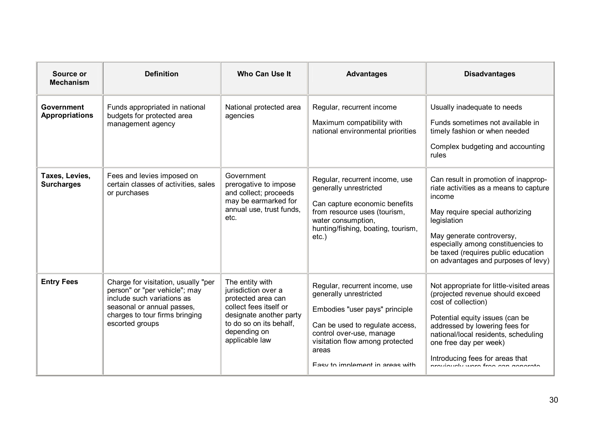| Source or<br><b>Mechanism</b>       | <b>Definition</b>                                                                                                                                                                     | <b>Who Can Use It</b>                                                                                                                                                          | <b>Advantages</b>                                                                                                                                                                                                                        | <b>Disadvantages</b>                                                                                                                                                                                                                                                                                               |
|-------------------------------------|---------------------------------------------------------------------------------------------------------------------------------------------------------------------------------------|--------------------------------------------------------------------------------------------------------------------------------------------------------------------------------|------------------------------------------------------------------------------------------------------------------------------------------------------------------------------------------------------------------------------------------|--------------------------------------------------------------------------------------------------------------------------------------------------------------------------------------------------------------------------------------------------------------------------------------------------------------------|
| Government<br><b>Appropriations</b> | Funds appropriated in national<br>budgets for protected area<br>management agency                                                                                                     | National protected area<br>agencies                                                                                                                                            | Regular, recurrent income<br>Maximum compatibility with<br>national environmental priorities                                                                                                                                             | Usually inadequate to needs<br>Funds sometimes not available in<br>timely fashion or when needed<br>Complex budgeting and accounting<br>rules                                                                                                                                                                      |
| Taxes, Levies,<br><b>Surcharges</b> | Fees and levies imposed on<br>certain classes of activities, sales<br>or purchases                                                                                                    | Government<br>prerogative to impose<br>and collect; proceeds<br>may be earmarked for<br>annual use, trust funds,<br>etc.                                                       | Regular, recurrent income, use<br>generally unrestricted<br>Can capture economic benefits<br>from resource uses (tourism,<br>water consumption,<br>hunting/fishing, boating, tourism,<br>$etc.$ )                                        | Can result in promotion of inapprop-<br>riate activities as a means to capture<br>income<br>May require special authorizing<br>legislation<br>May generate controversy,<br>especially among constituencies to<br>be taxed (requires public education<br>on advantages and purposes of levy)                        |
| <b>Entry Fees</b>                   | Charge for visitation, usually "per<br>person" or "per vehicle"; may<br>include such variations as<br>seasonal or annual passes,<br>charges to tour firms bringing<br>escorted groups | The entity with<br>jurisdiction over a<br>protected area can<br>collect fees itself or<br>designate another party<br>to do so on its behalf,<br>depending on<br>applicable law | Regular, recurrent income, use<br>generally unrestricted<br>Embodies "user pays" principle<br>Can be used to regulate access,<br>control over-use, manage<br>visitation flow among protected<br>areas<br>Fasy to implement in areas with | Not appropriate for little-visited areas<br>(projected revenue should exceed<br>cost of collection)<br>Potential equity issues (can be<br>addressed by lowering fees for<br>national/local residents, scheduling<br>one free day per week)<br>Introducing fees for areas that<br>provincely ware free oon acperate |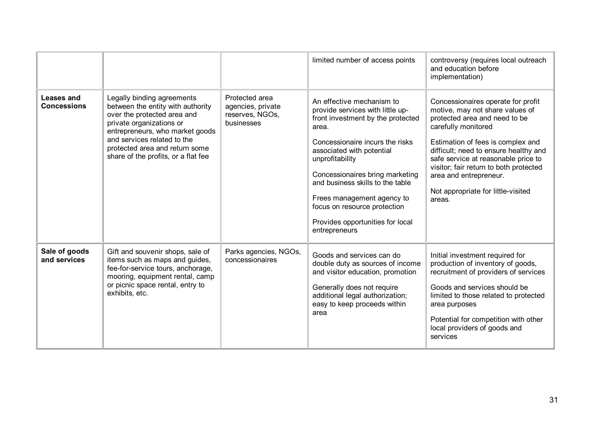|                                  |                                                                                                                                                                                                                                                                       |                                                                      | limited number of access points                                                                                                                                                                                                                                                                                                                                                          | controversy (requires local outreach<br>and education before<br>implementation)                                                                                                                                                                                                                                                                                        |
|----------------------------------|-----------------------------------------------------------------------------------------------------------------------------------------------------------------------------------------------------------------------------------------------------------------------|----------------------------------------------------------------------|------------------------------------------------------------------------------------------------------------------------------------------------------------------------------------------------------------------------------------------------------------------------------------------------------------------------------------------------------------------------------------------|------------------------------------------------------------------------------------------------------------------------------------------------------------------------------------------------------------------------------------------------------------------------------------------------------------------------------------------------------------------------|
| Leases and<br><b>Concessions</b> | Legally binding agreements<br>between the entity with authority<br>over the protected area and<br>private organizations or<br>entrepreneurs, who market goods<br>and services related to the<br>protected area and return some<br>share of the profits, or a flat fee | Protected area<br>agencies, private<br>reserves, NGOs,<br>businesses | An effective mechanism to<br>provide services with little up-<br>front investment by the protected<br>area.<br>Concessionaire incurs the risks<br>associated with potential<br>unprofitability<br>Concessionaires bring marketing<br>and business skills to the table<br>Frees management agency to<br>focus on resource protection<br>Provides opportunities for local<br>entrepreneurs | Concessionaires operate for profit<br>motive, may not share values of<br>protected area and need to be<br>carefully monitored<br>Estimation of fees is complex and<br>difficult; need to ensure healthy and<br>safe service at reasonable price to<br>visitor; fair return to both protected<br>area and entrepreneur.<br>Not appropriate for little-visited<br>areas. |
| Sale of goods<br>and services    | Gift and souvenir shops, sale of<br>items such as maps and guides,<br>fee-for-service tours, anchorage,<br>mooring, equipment rental, camp<br>or picnic space rental, entry to<br>exhibits, etc.                                                                      | Parks agencies, NGOs,<br>concessionaires                             | Goods and services can do<br>double duty as sources of income<br>and visitor education, promotion<br>Generally does not require<br>additional legal authorization;<br>easy to keep proceeds within<br>area                                                                                                                                                                               | Initial investment required for<br>production of inventory of goods,<br>recruitment of providers of services<br>Goods and services should be<br>limited to those related to protected<br>area purposes<br>Potential for competition with other<br>local providers of goods and<br>services                                                                             |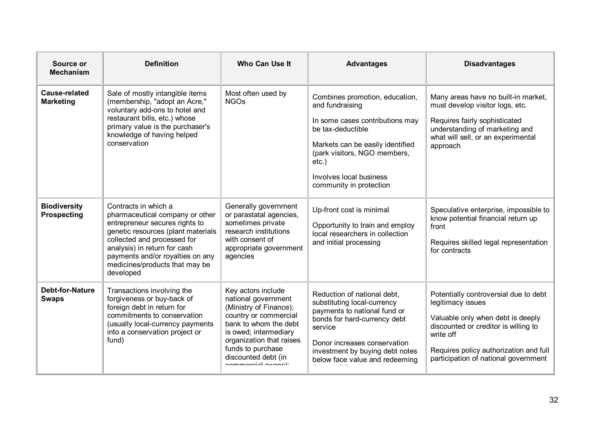| Source or<br><b>Mechanism</b>             | <b>Definition</b>                                                                                                                                                                                                                                                                 | <b>Who Can Use It</b>                                                                                                                                                                                                                         | <b>Advantages</b>                                                                                                                                                                                                                               | <b>Disadvantages</b>                                                                                                                                                                                                                   |
|-------------------------------------------|-----------------------------------------------------------------------------------------------------------------------------------------------------------------------------------------------------------------------------------------------------------------------------------|-----------------------------------------------------------------------------------------------------------------------------------------------------------------------------------------------------------------------------------------------|-------------------------------------------------------------------------------------------------------------------------------------------------------------------------------------------------------------------------------------------------|----------------------------------------------------------------------------------------------------------------------------------------------------------------------------------------------------------------------------------------|
| Cause-related<br><b>Marketing</b>         | Sale of mostly intangible items<br>(membership, "adopt an Acre,"<br>voluntary add-ons to hotel and<br>restaurant bills, etc.) whose<br>primary value is the purchaser's<br>knowledge of having helped<br>conservation                                                             | Most often used by<br><b>NGOs</b>                                                                                                                                                                                                             | Combines promotion, education,<br>and fundraising<br>In some cases contributions may<br>be tax-deductible<br>Markets can be easily identified<br>(park visitors, NGO members,<br>$etc.$ )<br>Involves local business<br>community in protection | Many areas have no built-in market,<br>must develop visitor logs, etc.<br>Requires fairly sophisticated<br>understanding of marketing and<br>what will sell, or an experimental<br>approach                                            |
| <b>Biodiversity</b><br><b>Prospecting</b> | Contracts in which a<br>pharmaceutical company or other<br>entrepreneur secures rights to<br>genetic resources (plant materials<br>collected and processed for<br>analysis) in return for cash<br>payments and/or royalties on any<br>medicines/products that may be<br>developed | Generally government<br>or parastatal agencies,<br>sometimes private<br>research institutions<br>with consent of<br>appropriate government<br>agencies                                                                                        | Up-front cost is minimal<br>Opportunity to train and employ<br>local researchers in collection<br>and initial processing                                                                                                                        | Speculative enterprise, impossible to<br>know potential financial return up<br>front<br>Requires skilled legal representation<br>for contracts                                                                                         |
| <b>Debt-for-Nature</b><br><b>Swaps</b>    | Transactions involving the<br>forgiveness or buy-back of<br>foreign debt in return for<br>commitments to conservation<br>(usually local-currency payments<br>into a conservation project or<br>fund)                                                                              | Key actors include<br>national government<br>(Ministry of Finance);<br>country or commercial<br>bank to whom the debt<br>is owed; intermediary<br>organization that raises<br>funds to purchase<br>discounted debt (in<br>commorsial susanali | Reduction of national debt,<br>substituting local-currency<br>payments to national fund or<br>bonds for hard-currency debt<br>service<br>Donor increases conservation<br>investment by buying debt notes<br>below face value and redeeming      | Potentially controversial due to debt<br>legitimacy issues<br>Valuable only when debt is deeply<br>discounted or creditor is willing to<br>write off<br>Requires policy authorization and full<br>participation of national government |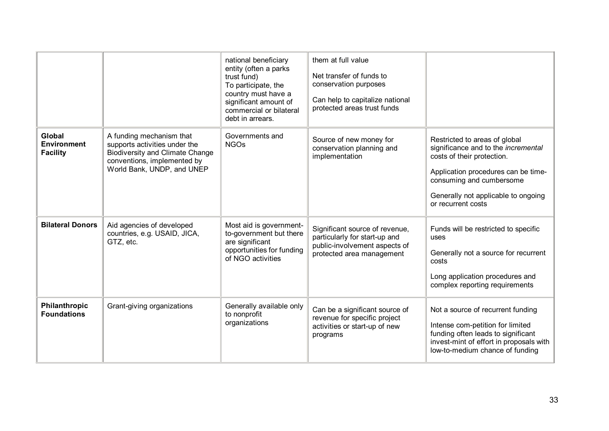|                                                        |                                                                                                                                                                  | national beneficiary<br>entity (often a parks<br>trust fund)<br>To participate, the<br>country must have a<br>significant amount of<br>commercial or bilateral<br>debt in arrears. | them at full value<br>Net transfer of funds to<br>conservation purposes<br>Can help to capitalize national<br>protected areas trust funds |                                                                                                                                                                                                                                    |
|--------------------------------------------------------|------------------------------------------------------------------------------------------------------------------------------------------------------------------|------------------------------------------------------------------------------------------------------------------------------------------------------------------------------------|-------------------------------------------------------------------------------------------------------------------------------------------|------------------------------------------------------------------------------------------------------------------------------------------------------------------------------------------------------------------------------------|
| <b>Global</b><br><b>Environment</b><br><b>Facility</b> | A funding mechanism that<br>supports activities under the<br><b>Biodiversity and Climate Change</b><br>conventions, implemented by<br>World Bank, UNDP, and UNEP | Governments and<br><b>NGOs</b>                                                                                                                                                     | Source of new money for<br>conservation planning and<br>implementation                                                                    | Restricted to areas of global<br>significance and to the incremental<br>costs of their protection.<br>Application procedures can be time-<br>consuming and cumbersome<br>Generally not applicable to ongoing<br>or recurrent costs |
| <b>Bilateral Donors</b>                                | Aid agencies of developed<br>countries, e.g. USAID, JICA,<br>GTZ, etc.                                                                                           | Most aid is government-<br>to-government but there<br>are significant<br>opportunities for funding<br>of NGO activities                                                            | Significant source of revenue,<br>particularly for start-up and<br>public-involvement aspects of<br>protected area management             | Funds will be restricted to specific<br>uses<br>Generally not a source for recurrent<br>costs<br>Long application procedures and<br>complex reporting requirements                                                                 |
| Philanthropic<br><b>Foundations</b>                    | Grant-giving organizations                                                                                                                                       | Generally available only<br>to nonprofit<br>organizations                                                                                                                          | Can be a significant source of<br>revenue for specific project<br>activities or start-up of new<br>programs                               | Not a source of recurrent funding<br>Intense com-petition for limited<br>funding often leads to significant<br>invest-mint of effort in proposals with<br>low-to-medium chance of funding                                          |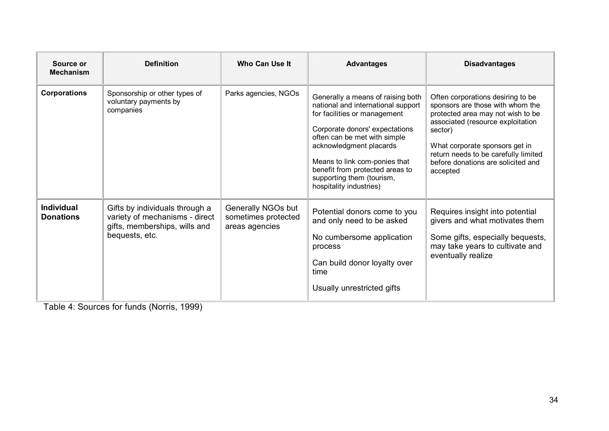| Source or<br><b>Mechanism</b>         | <b>Definition</b>                                                                                                   | Who Can Use It                                              | <b>Advantages</b>                                                                                                                                                                                                                                                                                                                | <b>Disadvantages</b>                                                                                                                                                                                                                                                                   |
|---------------------------------------|---------------------------------------------------------------------------------------------------------------------|-------------------------------------------------------------|----------------------------------------------------------------------------------------------------------------------------------------------------------------------------------------------------------------------------------------------------------------------------------------------------------------------------------|----------------------------------------------------------------------------------------------------------------------------------------------------------------------------------------------------------------------------------------------------------------------------------------|
| <b>Corporations</b>                   | Sponsorship or other types of<br>voluntary payments by<br>companies                                                 | Parks agencies, NGOs                                        | Generally a means of raising both<br>national and international support<br>for facilities or management<br>Corporate donors' expectations<br>often can be met with simple<br>acknowledgment placards<br>Means to link com-ponies that<br>benefit from protected areas to<br>supporting them (tourism,<br>hospitality industries) | Often corporations desiring to be<br>sponsors are those with whom the<br>protected area may not wish to be<br>associated (resource exploitation<br>sector)<br>What corporate sponsors get in<br>return needs to be carefully limited<br>before donations are solicited and<br>accepted |
| <b>Individual</b><br><b>Donations</b> | Gifts by individuals through a<br>variety of mechanisms - direct<br>gifts, memberships, wills and<br>bequests, etc. | Generally NGOs but<br>sometimes protected<br>areas agencies | Potential donors come to you<br>and only need to be asked<br>No cumbersome application<br>process<br>Can build donor loyalty over<br>time<br>Usually unrestricted gifts                                                                                                                                                          | Requires insight into potential<br>givers and what motivates them<br>Some gifts, especially bequests,<br>may take years to cultivate and<br>eventually realize                                                                                                                         |

Table 4: Sources for funds (Norris, 1999)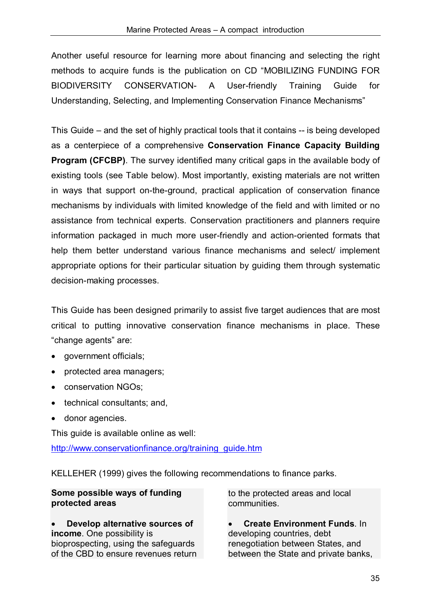Another useful resource for learning more about financing and selecting the right methods to acquire funds is the publication on CD "MOBILIZING FUNDING FOR BIODIVERSITY CONSERVATION- A User-friendly Training Guide for Understanding, Selecting, and Implementing Conservation Finance Mechanisms"

This Guide – and the set of highly practical tools that it contains -- is being developed as a centerpiece of a comprehensive **Conservation Finance Capacity Building Program (CFCBP)**. The survey identified many critical gaps in the available body of existing tools (see Table below). Most importantly, existing materials are not written in ways that support on-the-ground, practical application of conservation finance mechanisms by individuals with limited knowledge of the field and with limited or no assistance from technical experts. Conservation practitioners and planners require information packaged in much more user-friendly and action-oriented formats that help them better understand various finance mechanisms and select/ implement appropriate options for their particular situation by guiding them through systematic decision-making processes.

This Guide has been designed primarily to assist five target audiences that are most critical to putting innovative conservation finance mechanisms in place. These "change agents" are:

- government officials;
- protected area managers;
- conservation NGOs;
- technical consultants; and,
- donor agencies.

This guide is available online as well:

[http://www.conservationfinance.org/training\\_guide.htm](HTTP://WWW.CONSERVATIONFINANCE.ORG/TRAINING_GUIDE.HTM)

KELLEHER (1999) gives the following recommendations to finance parks.

**Some possible ways of funding protected areas**

 **Develop alternative sources of income**. One possibility is bioprospecting, using the safeguards of the CBD to ensure revenues return to the protected areas and local communities.

 **Create Environment Funds**. In developing countries, debt renegotiation between States, and between the State and private banks,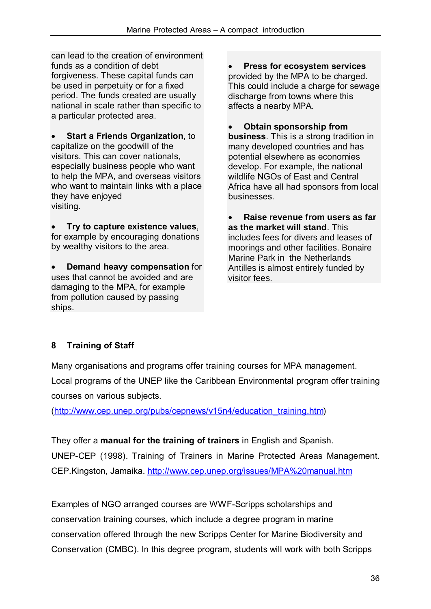can lead to the creation of environment funds as a condition of debt forgiveness. These capital funds can be used in perpetuity or for a fixed period. The funds created are usually national in scale rather than specific to a particular protected area.

 **Start a Friends Organization**, to capitalize on the goodwill of the visitors. This can cover nationals, especially business people who want to help the MPA, and overseas visitors who want to maintain links with a place they have enjoyed visiting.

 **Try to capture existence values**, for example by encouraging donations by wealthy visitors to the area.

 **Demand heavy compensation** for uses that cannot be avoided and are damaging to the MPA, for example from pollution caused by passing ships.

 **Press for ecosystem services**  provided by the MPA to be charged. This could include a charge for sewage discharge from towns where this affects a nearby MPA.

 **Obtain sponsorship from business**. This is a strong tradition in many developed countries and has potential elsewhere as economies develop. For example, the national wildlife NGOs of East and Central Africa have all had sponsors from local businesses.

 **Raise revenue from users as far as the market will stand**. This includes fees for divers and leases of moorings and other facilities. Bonaire Marine Park in the Netherlands Antilles is almost entirely funded by visitor fees.

# **8 Training of Staff**

Many organisations and programs offer training courses for MPA management. Local programs of the UNEP like the Caribbean Environmental program offer training courses on various subjects.

[\(http://www.cep.unep.org/pubs/cepnews/v15n4/education\\_training.htm\)](HTTP://WWW.CEP.UNEP.ORG/PUBS/CEPNEWS/V15N4/EDUCATION_TRAINING.HTM)

They offer a **manual for the training of trainers** in English and Spanish. UNEP-CEP (1998). Training of Trainers in Marine Protected Areas Management. CEP.Kingston, Jamaika. [http://www.cep.unep.org/issues/MPA%20manual.htm](HTTP://WWW.CEP.UNEP.ORG/ISSUES/MPA MANUAL.HTM)

Examples of NGO arranged courses are WWF-Scripps scholarships and conservation training courses, which include a degree program in marine conservation offered through the new Scripps Center for Marine Biodiversity and Conservation (CMBC). In this degree program, students will work with both Scripps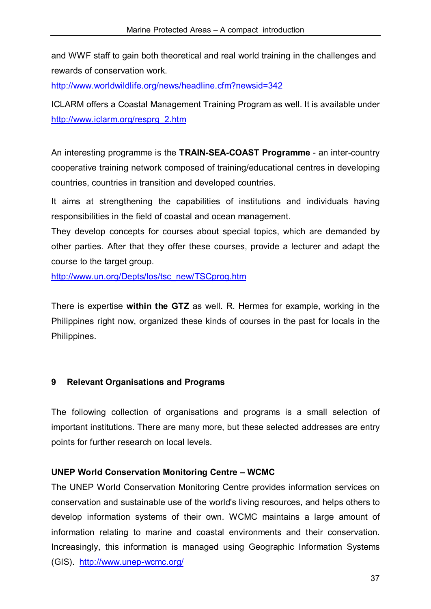and WWF staff to gain both theoretical and real world training in the challenges and rewards of conservation work.

[http://www.worldwildlife.org/news/headline.cfm?newsid=342](HTTP://WWW.WORLDWILDLIFE.ORG/NEWS/HEADLINE.CFM?NEWSID=342)

ICLARM offers a Coastal Management Training Program as well. It is available under [http://www.iclarm.org/resprg\\_2.htm](HTTP://WWW.ICLARM.ORG/RESPRG_2.HTM)

An interesting programme is the **TRAIN-SEA-COAST Programme** - an inter-country cooperative training network composed of training/educational centres in developing countries, countries in transition and developed countries.

It aims at strengthening the capabilities of institutions and individuals having responsibilities in the field of coastal and ocean management.

They develop concepts for courses about special topics, which are demanded by other parties. After that they offer these courses, provide a lecturer and adapt the course to the target group.

[http://www.un.org/Depts/los/tsc\\_new/TSCprog.htm](HTTP://WWW.UN.ORG/DEPTS/LOS/TSC_NEW/TSCPROG.HTM)

There is expertise **within the GTZ** as well. R. Hermes for example, working in the Philippines right now, organized these kinds of courses in the past for locals in the Philippines.

# **9 Relevant Organisations and Programs**

The following collection of organisations and programs is a small selection of important institutions. There are many more, but these selected addresses are entry points for further research on local levels.

# **UNEP World Conservation Monitoring Centre – WCMC**

The UNEP World Conservation Monitoring Centre provides information services on conservation and sustainable use of the world's living resources, and helps others to develop information systems of their own. WCMC maintains a large amount of information relating to marine and coastal environments and their conservation. Increasingly, this information is managed using Geographic Information Systems (GIS). [http://www.unep-wcmc.org/](HTTP://WWW.UNEP-WCMC.ORG/)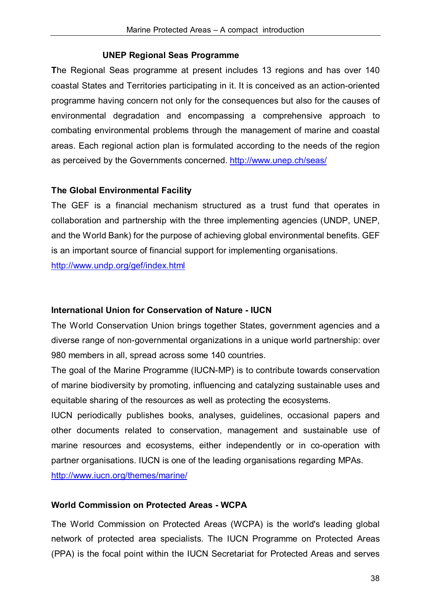#### **UNEP Regional Seas Programme**

**T**he Regional Seas programme at present includes 13 regions and has over 140 coastal States and Territories participating in it. It is conceived as an action-oriented programme having concern not only for the consequences but also for the causes of environmental degradation and encompassing a comprehensive approach to combating environmental problems through the management of marine and coastal areas. Each regional action plan is formulated according to the needs of the region as perceived by the Governments concerned. [http://www.unep.ch/seas/](HTTP://WWW.UNEP.CH/SEAS/)

# **The Global Environmental Facility**

The GEF is a financial mechanism structured as a trust fund that operates in collaboration and partnership with the three implementing agencies (UNDP, UNEP, and the World Bank) for the purpose of achieving global environmental benefits. GEF is an important source of financial support for implementing organisations.

[http://www.undp.org/gef/index.html](HTTP://WWW.UNDP.ORG/GEF/INDEX.HTML)

# **International Union for Conservation of Nature - IUCN**

The World Conservation Union brings together States, government agencies and a diverse range of non-governmental organizations in a unique world partnership: over 980 members in all, spread across some 140 countries.

The goal of the Marine Programme (IUCN-MP) is to contribute towards conservation of marine biodiversity by promoting, influencing and catalyzing sustainable uses and equitable sharing of the resources as well as protecting the ecosystems.

IUCN periodically publishes books, analyses, guidelines, occasional papers and other documents related to conservation, management and sustainable use of marine resources and ecosystems, either independently or in co-operation with partner organisations. IUCN is one of the leading organisations regarding MPAs. [http://www.iucn.org/themes/marine/](HTTP://WWW.IUCN.ORG/THEMES/MARINE/)

# **World Commission on Protected Areas - WCPA**

The World Commission on Protected Areas (WCPA) is the world's leading global network of protected area specialists. The IUCN Programme on Protected Areas (PPA) is the focal point within the IUCN Secretariat for Protected Areas and serves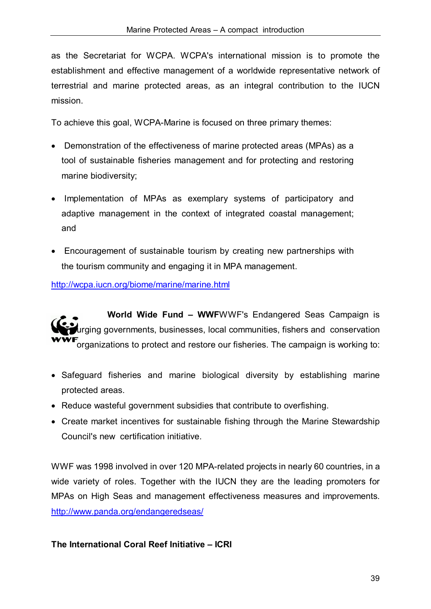as the Secretariat for WCPA. WCPA's international mission is to promote the establishment and effective management of a worldwide representative network of terrestrial and marine protected areas, as an integral contribution to the IUCN mission.

To achieve this goal, WCPA-Marine is focused on three primary themes:

- Demonstration of the effectiveness of marine protected areas (MPAs) as a tool of sustainable fisheries management and for protecting and restoring marine biodiversity;
- Implementation of MPAs as exemplary systems of participatory and adaptive management in the context of integrated coastal management; and
- Encouragement of sustainable tourism by creating new partnerships with the tourism community and engaging it in MPA management.

[http://wcpa.iucn.org/biome/marine/marine.html](HTTP://WCPA.IUCN.ORG/BIOME/MARINE/MARINE.HTML)

 **World Wide Fund – WWF**WWF's Endangered Seas Campaign is urging governments, businesses, local communities, fishers and conservation organizations to protect and restore our fisheries. The campaign is working to:

- Safeguard fisheries and marine biological diversity by establishing marine protected areas.
- Reduce wasteful government subsidies that contribute to overfishing.
- Create market incentives for sustainable fishing through the Marine Stewardship Council's new certification initiative.

WWF was 1998 involved in over 120 MPA-related projects in nearly 60 countries, in a wide variety of roles. Together with the IUCN they are the leading promoters for MPAs on High Seas and management effectiveness measures and improvements. [http://www.panda.org/endangeredseas/](HTTP://WWW.PANDA.ORG/ENDANGEREDSEAS/)

**The International Coral Reef Initiative – ICRI**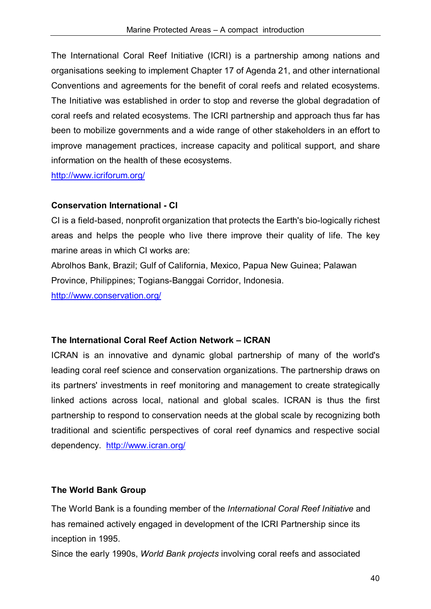The International Coral Reef Initiative (ICRI) is a partnership among nations and organisations seeking to implement Chapter 17 of Agenda 21, and other international Conventions and agreements for the benefit of coral reefs and related ecosystems. The Initiative was established in order to stop and reverse the global degradation of coral reefs and related ecosystems. The ICRI partnership and approach thus far has been to mobilize governments and a wide range of other stakeholders in an effort to improve management practices, increase capacity and political support, and share information on the health of these ecosystems.

[http://www.icriforum.org/](HTTP://WWW.ICRIFORUM.ORG/)

# **Conservation International - CI**

CI is a field-based, nonprofit organization that protects the Earth's bio-logically richest areas and helps the people who live there improve their quality of life. The key marine areas in which CI works are:

Abrolhos Bank, Brazil; Gulf of California, Mexico, Papua New Guinea; Palawan Province, Philippines; Togians-Banggai Corridor, Indonesia.

[http://www.conservation.org/](HTTP://WWW.CONSERVATION.ORG/)

# **The International Coral Reef Action Network – ICRAN**

ICRAN is an innovative and dynamic global partnership of many of the world's leading coral reef science and conservation organizations. The partnership draws on its partners' investments in reef monitoring and management to create strategically linked actions across local, national and global scales. ICRAN is thus the first partnership to respond to conservation needs at the global scale by recognizing both traditional and scientific perspectives of coral reef dynamics and respective social dependency. [http://www.icran.org/](HTTP://WWW.ICRAN.ORG/)

# **The World Bank Group**

The World Bank is a founding member of the *International Coral Reef Initiative* and has remained actively engaged in development of the ICRI Partnership since its inception in 1995.

Since the early 1990s, *World Bank projects* involving coral reefs and associated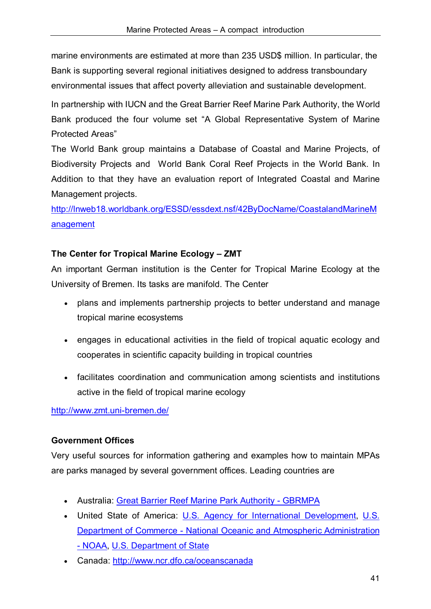marine environments are estimated at more than 235 USD\$ million. In particular, the Bank is supporting several regional initiatives designed to address transboundary environmental issues that affect poverty alleviation and sustainable development.

In partnership with IUCN and the Great Barrier Reef Marine Park Authority, the World Bank produced the four volume set "A Global Representative System of Marine Protected Areas"

The World Bank group maintains a Database of Coastal and Marine Projects, of Biodiversity Projects and World Bank Coral Reef Projects in the World Bank. In Addition to that they have an evaluation report of Integrated Coastal and Marine Management projects.

[http://lnweb18.worldbank.org/ESSD/essdext.nsf/42ByDocName/CoastalandMarineM](HTTP://LNWEB18.WORLDBANK.ORG/ESSD/ESSDEXT.NSF/42BYDOCNAME/COASTALANDMARINEMANAGEMENT) anagement

# **The Center for Tropical Marine Ecology – ZMT**

An important German institution is the Center for Tropical Marine Ecology at the University of Bremen. Its tasks are manifold. The Center

- plans and implements partnership projects to better understand and manage tropical marine ecosystems
- engages in educational activities in the field of tropical aquatic ecology and cooperates in scientific capacity building in tropical countries
- facilitates coordination and communication among scientists and institutions active in the field of tropical marine ecology

[http://www.zmt.uni-bremen.de/](HTTP://WWW.ZMT.UNI-BREMEN.DE/)

# **Government Offices**

Very useful sources for information gathering and examples how to maintain MPAs are parks managed by several government offices. Leading countries are

- Australia: [Great Barrier Reef Marine Park Authority GBRMPA](HTTP://WWW.ICRIFORUM.ORG/UTIL/EXT_DISP.CFM?UVAL=HTTP://WWW.GBRMPA.GOV.AU)
- United State of America: [U.S. Agency for International Development](HTTP://WWW.ICRIFORUM.ORG/UTIL/EXT_DISP.CFM?UVAL=HTTP://WWW.USAID.GOV), U.S. Department of Commerce - National Oceanic and Atmospheric Administration - NOAA, [U.S. Department of State](HTTP://WWW.ICRIFORUM.ORG/UTIL/EXT_DISP.CFM?UVAL=HTTP://WWW.STATE.GOV)
- Canada: [http://www.ncr.dfo.ca/oceanscanada](HTTP://WWW.NCR.DFO.CA/OCEANSCANADA)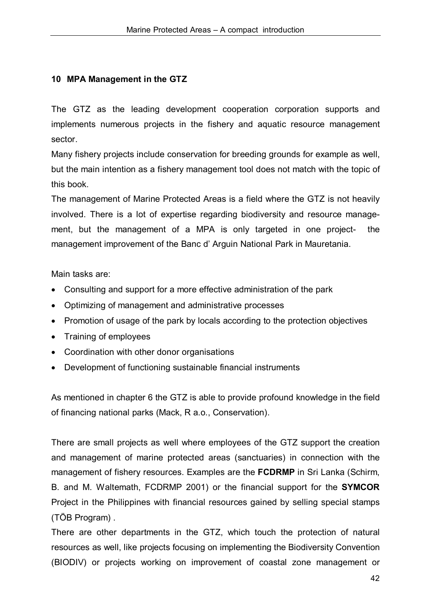# **10 MPA Management in the GTZ**

The GTZ as the leading development cooperation corporation supports and implements numerous projects in the fishery and aquatic resource management sector.

Many fishery projects include conservation for breeding grounds for example as well, but the main intention as a fishery management tool does not match with the topic of this book.

The management of Marine Protected Areas is a field where the GTZ is not heavily involved. There is a lot of expertise regarding biodiversity and resource management, but the management of a MPA is only targeted in one project- the management improvement of the Banc d' Arguin National Park in Mauretania.

Main tasks are:

- Consulting and support for a more effective administration of the park
- Optimizing of management and administrative processes
- Promotion of usage of the park by locals according to the protection objectives
- Training of employees
- Coordination with other donor organisations
- Development of functioning sustainable financial instruments

As mentioned in chapter 6 the GTZ is able to provide profound knowledge in the field of financing national parks (Mack, R a.o., Conservation).

There are small projects as well where employees of the GTZ support the creation and management of marine protected areas (sanctuaries) in connection with the management of fishery resources. Examples are the **FCDRMP** in Sri Lanka (Schirm, B. and M. Waltemath, FCDRMP 2001) or the financial support for the **SYMCOR** Project in the Philippines with financial resources gained by selling special stamps (TÖB Program) .

There are other departments in the GTZ, which touch the protection of natural resources as well, like projects focusing on implementing the Biodiversity Convention (BIODIV) or projects working on improvement of coastal zone management or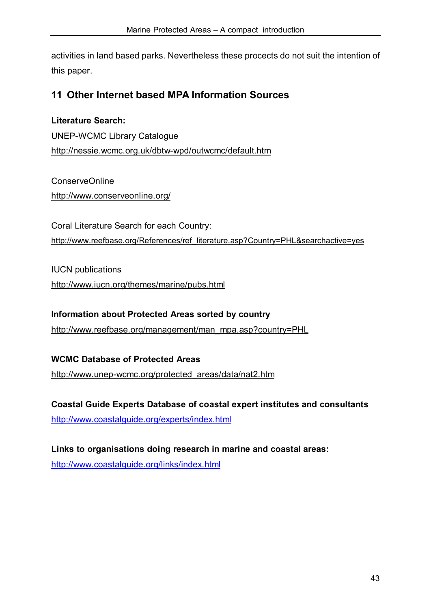activities in land based parks. Nevertheless these procects do not suit the intention of this paper.

# **11 Other Internet based MPA Information Sources**

**Literature Search:** UNEP-WCMC Library Catalogue [http://nessie.wcmc.org.uk/dbtw-wpd/outwcmc/default.htm](HTTP://NESSIE.WCMC.ORG.UK/DBTW-WPD/OUTWCMC/DEFAULT.HTM)

ConserveOnline [http://www.conserveonline.org/](HTTP://WWW.CONSERVEONLINE.ORG/)

Coral Literature Search for each Country: [http://www.reefbase.org/References/ref\\_literature.asp?Country=PHL&searchactive=yes](HTTP://WWW.REEFBASE.ORG/REFERENCES/REF_LITERATURE.ASP?COUNTRY=PHL&SEARCHACTIVE=YES)

IUCN publications http://www.iucn.org/themes/marine/pubs.html

**Information about Protected Areas sorted by country** [http://www.reefbase.org/management/man\\_mpa.asp?country=PHL](HTTP://WWW.REEFBASE.ORG/MANAGEMENT/MAN_MPA.ASP?COUNTRY=PHL)

**WCMC Database of Protected Areas** [http://www.unep-wcmc.org/protected\\_areas/data/nat2.htm](HTTP://WWW.UNEP-WCMC.ORG/PROTECTED_AREAS/DATA/NAT2.HTM)

**Coastal Guide Experts Database of coastal expert institutes and consultants** [http://www.coastalguide.org/experts/index.html](HTTP://WWW.COASTALGUIDE.ORG/EXPERTS/INDEX.HTML)

**Links to organisations doing research in marine and coastal areas:** [http://www.coastalguide.org/links/index.html](HTTP://WWW.COASTALGUIDE.ORG/LINKS/INDEX.HTML)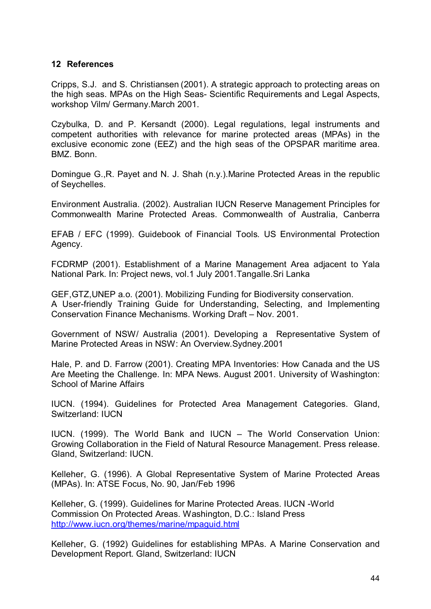#### **12 References**

Cripps, S.J. and S. Christiansen (2001). A strategic approach to protecting areas on the high seas. MPAs on the High Seas- Scientific Requirements and Legal Aspects, workshop Vilm/ Germany.March 2001.

Czybulka, D. and P. Kersandt (2000). Legal regulations, legal instruments and competent authorities with relevance for marine protected areas (MPAs) in the exclusive economic zone (EEZ) and the high seas of the OPSPAR maritime area. BMZ. Bonn.

Domingue G.,R. Payet and N. J. Shah (n.y.).Marine Protected Areas in the republic of Seychelles.

Environment Australia. (2002). Australian IUCN Reserve Management Principles for Commonwealth Marine Protected Areas. Commonwealth of Australia, Canberra

EFAB / EFC (1999). Guidebook of Financial Tools*.* US Environmental Protection Agency.

FCDRMP (2001). Establishment of a Marine Management Area adjacent to Yala National Park. In: Project news, vol.1 July 2001.Tangalle.Sri Lanka

GEF,GTZ,UNEP a.o. (2001). Mobilizing Funding for Biodiversity conservation. A User-friendly Training Guide for Understanding, Selecting, and Implementing Conservation Finance Mechanisms. Working Draft – Nov. 2001.

Government of NSW/ Australia (2001). Developing a Representative System of Marine Protected Areas in NSW: An Overview.Sydney.2001

Hale, P. and D. Farrow (2001). Creating MPA Inventories: How Canada and the US Are Meeting the Challenge. In: MPA News. August 2001. University of Washington: School of Marine Affairs

IUCN. (1994). Guidelines for Protected Area Management Categories. Gland, Switzerland: IUCN

IUCN. (1999). The World Bank and IUCN – The World Conservation Union: Growing Collaboration in the Field of Natural Resource Management. Press release. Gland, Switzerland: IUCN.

Kelleher, G. (1996). A Global Representative System of Marine Protected Areas (MPAs). In: ATSE Focus, No. 90, Jan/Feb 1996

Kelleher, G. (1999). Guidelines for Marine Protected Areas. IUCN -World Commission On Protected Areas. Washington, D.C.: Island Press [http://www.iucn.org/themes/marine/mpaguid.html](HTTP://WWW.IUCN.ORG/THEMES/MARINE/MPAGUID.HTML)

Kelleher, G. (1992) Guidelines for establishing MPAs. A Marine Conservation and Development Report. Gland, Switzerland: IUCN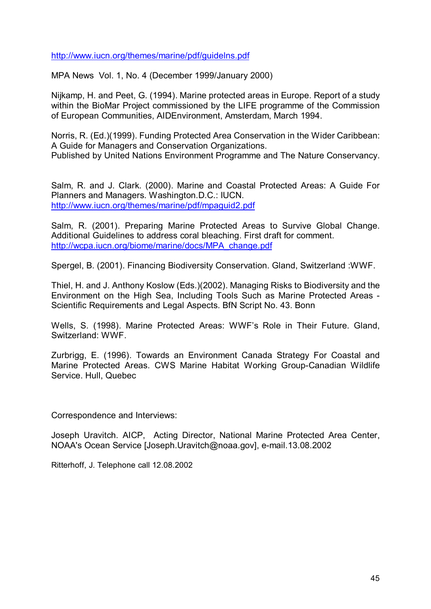[http://www.iucn.org/themes/marine/pdf/guidelns.pdf](HTTP://WWW.IUCN.ORG/THEMES/MARINE/PDF/GUIDELNS.PDF)

MPA News Vol. 1, No. 4 (December 1999/January 2000)

Nijkamp, H. and Peet, G. (1994). Marine protected areas in Europe. Report of a study within the BioMar Project commissioned by the LIFE programme of the Commission of European Communities, AIDEnvironment, Amsterdam, March 1994.

Norris, R. (Ed.)(1999). Funding Protected Area Conservation in the Wider Caribbean: A Guide for Managers and Conservation Organizations. Published by United Nations Environment Programme and The Nature Conservancy.

Salm, R. and J. Clark. (2000). Marine and Coastal Protected Areas: A Guide For Planners and Managers. Washington.D.C.: IUCN. [http://www.iucn.org/themes/marine/pdf/mpaguid2.pdf](HTTP://WWW.IUCN.ORG/THEMES/MARINE/PDF/MPAGUID2.PDF)

Salm, R. (2001). Preparing Marine Protected Areas to Survive Global Change. Additional Guidelines to address coral bleaching. First draft for comment. [http://wcpa.iucn.org/biome/marine/docs/MPA\\_change.pdf](HTTP://WCPA.IUCN.ORG/BIOME/MARINE/DOCS/MPA_CHANGE.PDF)

Spergel, B. (2001). Financing Biodiversity Conservation. Gland, Switzerland :WWF.

Thiel, H. and J. Anthony Koslow (Eds.)(2002). Managing Risks to Biodiversity and the Environment on the High Sea, Including Tools Such as Marine Protected Areas - Scientific Requirements and Legal Aspects. BfN Script No. 43. Bonn

Wells, S. (1998). Marine Protected Areas: WWF's Role in Their Future. Gland, Switzerland: WWF.

Zurbrigg, E. (1996). Towards an Environment Canada Strategy For Coastal and Marine Protected Areas. CWS Marine Habitat Working Group-Canadian Wildlife Service. Hull, Quebec

Correspondence and Interviews:

Joseph Uravitch. AICP, Acting Director, National Marine Protected Area Center, NOAA's Ocean Service [Joseph.Uravitch@noaa.gov], e-mail.13.08.2002

Ritterhoff, J. Telephone call 12.08.2002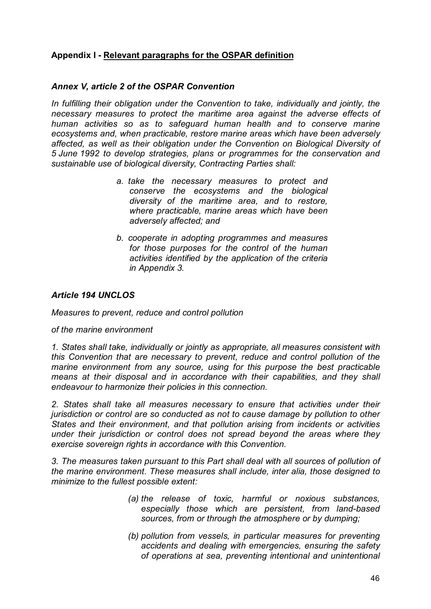# **Appendix I - Relevant paragraphs for the OSPAR definition**

#### *Annex V, article 2 of the OSPAR Convention*

In fulfilling their obligation under the Convention to take, individually and jointly, the *necessary measures to protect the maritime area against the adverse effects of human activities so as to safeguard human health and to conserve marine ecosystems and, when practicable, restore marine areas which have been adversely affected, as well as their obligation under the Convention on Biological Diversity of 5 June 1992 to develop strategies, plans or programmes for the conservation and sustainable use of biological diversity, Contracting Parties shall:*

- *a. take the necessary measures to protect and conserve the ecosystems and the biological diversity of the maritime area, and to restore, where practicable, marine areas which have been adversely affected; and*
- *b. cooperate in adopting programmes and measures for those purposes for the control of the human activities identified by the application of the criteria in Appendix 3.*

#### *Article 194 UNCLOS*

*Measures to prevent, reduce and control pollution*

*of the marine environment*

*1. States shall take, individually or jointly as appropriate, all measures consistent with this Convention that are necessary to prevent, reduce and control pollution of the marine environment from any source, using for this purpose the best practicable means at their disposal and in accordance with their capabilities, and they shall endeavour to harmonize their policies in this connection.*

*2. States shall take all measures necessary to ensure that activities under their jurisdiction or control are so conducted as not to cause damage by pollution to other States and their environment, and that pollution arising from incidents or activities under their jurisdiction or control does not spread beyond the areas where they exercise sovereign rights in accordance with this Convention.*

*3. The measures taken pursuant to this Part shall deal with all sources of pollution of the marine environment. These measures shall include, inter alia, those designed to minimize to the fullest possible extent:*

- *(a) the release of toxic, harmful or noxious substances, especially those which are persistent, from land-based sources, from or through the atmosphere or by dumping;*
- *(b) pollution from vessels, in particular measures for preventing accidents and dealing with emergencies, ensuring the safety of operations at sea, preventing intentional and unintentional*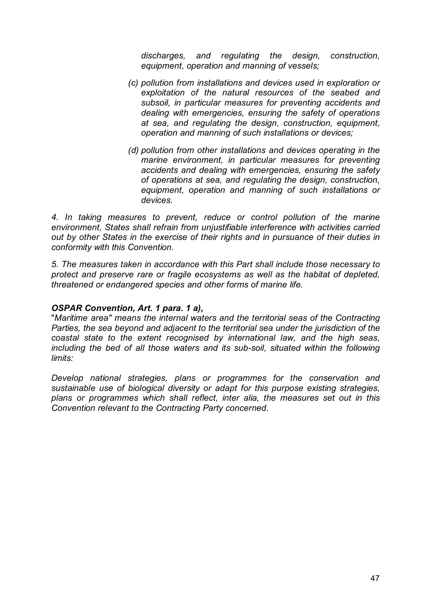*discharges, and regulating the design, construction, equipment, operation and manning of vessels;*

- *(c) pollution from installations and devices used in exploration or exploitation of the natural resources of the seabed and subsoil, in particular measures for preventing accidents and dealing with emergencies, ensuring the safety of operations at sea, and regulating the design, construction, equipment, operation and manning of such installations or devices;*
- *(d) pollution from other installations and devices operating in the marine environment, in particular measures for preventing accidents and dealing with emergencies, ensuring the safety of operations at sea, and regulating the design, construction, equipment, operation and manning of such installations or devices.*

*4. In taking measures to prevent, reduce or control pollution of the marine environment, States shall refrain from unjustifiable interference with activities carried out by other States in the exercise of their rights and in pursuance of their duties in conformity with this Convention.*

*5. The measures taken in accordance with this Part shall include those necessary to protect and preserve rare or fragile ecosystems as well as the habitat of depleted, threatened or endangered species and other forms of marine life.*

#### *OSPAR Convention, Art. 1 para. 1 a),*

"*Maritime area" means the internal waters and the territorial seas of the Contracting Parties, the sea beyond and adjacent to the territorial sea under the jurisdiction of the coastal state to the extent recognised by international law, and the high seas, including the bed of all those waters and its sub-soil, situated within the following limits:*

*Develop national strategies, plans or programmes for the conservation and sustainable use of biological diversity or adapt for this purpose existing strategies, plans or programmes which shall reflect, inter alia, the measures set out in this Convention relevant to the Contracting Party concerned.*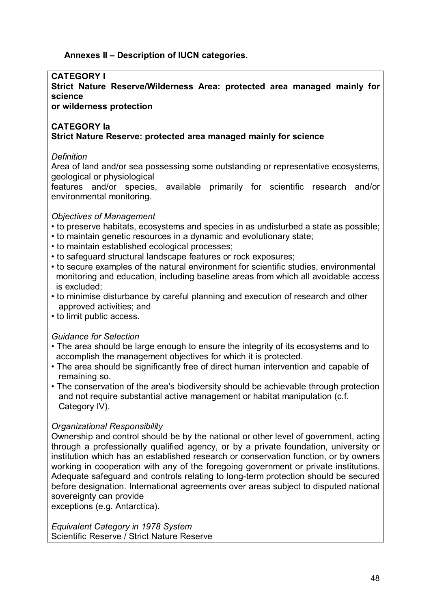# **Annexes II – Description of IUCN categories.**

# **CATEGORY I**

**Strict Nature Reserve/Wilderness Area: protected area managed mainly for science**

**or wilderness protection**

# **CATEGORY la Strict Nature Reserve: protected area managed mainly for science**

#### *Definition*

Area of land and/or sea possessing some outstanding or representative ecosystems, geological or physiological

features and/or species, available primarily for scientific research and/or environmental monitoring.

#### *Objectives of Management*

- to preserve habitats, ecosystems and species in as undisturbed a state as possible;
- to maintain genetic resources in a dynamic and evolutionary state;
- to maintain established ecological processes;
- to safeguard structural landscape features or rock exposures;
- to secure examples of the natural environment for scientific studies, environmental monitoring and education, including baseline areas from which all avoidable access is excluded;
- to minimise disturbance by careful planning and execution of research and other approved activities; and
- to limit public access.

#### *Guidance for Selection*

- The area should be large enough to ensure the integrity of its ecosystems and to accomplish the management objectives for which it is protected.
- The area should be significantly free of direct human intervention and capable of remaining so.
- The conservation of the area's biodiversity should be achievable through protection and not require substantial active management or habitat manipulation (c.f. Category IV).

#### *Organizational Responsibility*

Ownership and control should be by the national or other level of government, acting through a professionally qualified agency, or by a private foundation, university or institution which has an established research or conservation function, or by owners working in cooperation with any of the foregoing government or private institutions. Adequate safeguard and controls relating to long-term protection should be secured before designation. International agreements over areas subject to disputed national sovereignty can provide

exceptions (e.g. Antarctica).

*Equivalent Category in 1978 System* Scientific Reserve / Strict Nature Reserve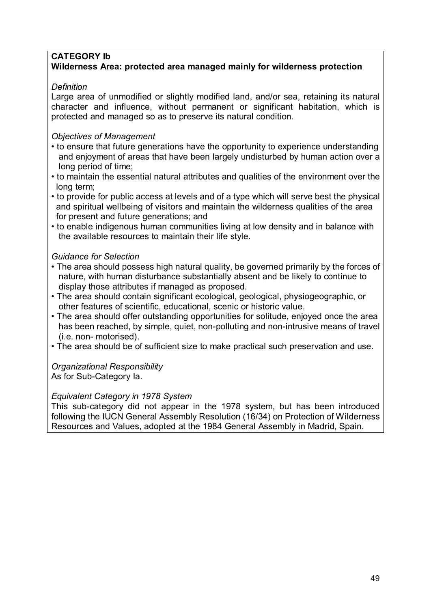# **CATEGORY Ib**

# **Wilderness Area: protected area managed mainly for wilderness protection**

# *Definition*

Large area of unmodified or slightly modified land, and/or sea, retaining its natural character and influence, without permanent or significant habitation, which is protected and managed so as to preserve its natural condition.

# *Objectives of Management*

- to ensure that future generations have the opportunity to experience understanding and enjoyment of areas that have been largely undisturbed by human action over a long period of time;
- to maintain the essential natural attributes and qualities of the environment over the long term;
- to provide for public access at levels and of a type which will serve best the physical and spiritual wellbeing of visitors and maintain the wilderness qualities of the area for present and future generations; and
- to enable indigenous human communities living at low density and in balance with the available resources to maintain their life style.

#### *Guidance for Selection*

- The area should possess high natural quality, be governed primarily by the forces of nature, with human disturbance substantially absent and be likely to continue to display those attributes if managed as proposed.
- The area should contain significant ecological, geological, physiogeographic, or other features of scientific, educational, scenic or historic value.
- The area should offer outstanding opportunities for solitude, enjoyed once the area has been reached, by simple, quiet, non-polluting and non-intrusive means of travel (i.e. non- motorised).
- The area should be of sufficient size to make practical such preservation and use.

#### *Organizational Responsibility* As for Sub-Category Ia.

#### *Equivalent Category in 1978 System*

This sub-category did not appear in the 1978 system, but has been introduced following the IUCN General Assembly Resolution (16/34) on Protection of Wilderness Resources and Values, adopted at the 1984 General Assembly in Madrid, Spain.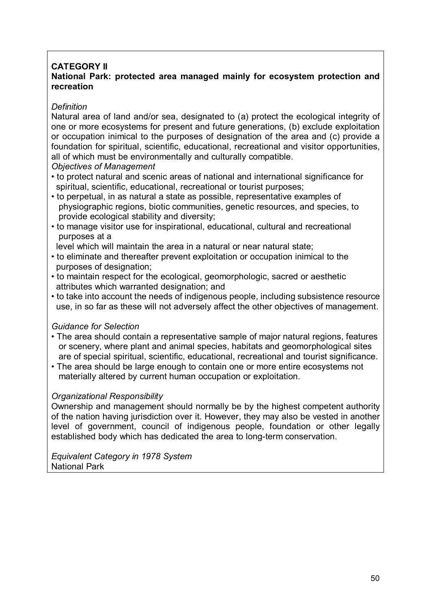# **CATEGORY II National Park: protected area managed mainly for ecosystem protection and recreation**

# *Definition*

Natural area of land and/or sea, designated to (a) protect the ecological integrity of one or more ecosystems for present and future generations, (b) exclude exploitation or occupation inimical to the purposes of designation of the area and (c) provide a foundation for spiritual, scientific, educational, recreational and visitor opportunities, all of which must be environmentally and culturally compatible.

- *Objectives of Management*
- to protect natural and scenic areas of national and international significance for spiritual, scientific, educational, recreational or tourist purposes;
- to perpetual, in as natural a state as possible, representative examples of physiographic regions, biotic communities, genetic resources, and species, to provide ecological stability and diversity;
- to manage visitor use for inspirational, educational, cultural and recreational purposes at a

level which will maintain the area in a natural or near natural state;

- to eliminate and thereafter prevent exploitation or occupation inimical to the purposes of designation;
- to maintain respect for the ecological, geomorphologic, sacred or aesthetic attributes which warranted designation; and
- to take into account the needs of indigenous people, including subsistence resource use, in so far as these will not adversely affect the other objectives of management.

# *Guidance for Selection*

- The area should contain a representative sample of major natural regions, features or scenery, where plant and animal species, habitats and geomorphological sites are of special spiritual, scientific, educational, recreational and tourist significance.
- The area should be large enough to contain one or more entire ecosystems not materially altered by current human occupation or exploitation.

# *Organizational Responsibility*

Ownership and management should normally be by the highest competent authority of the nation having jurisdiction over it. However, they may also be vested in another level of government, council of indigenous people, foundation or other legally established body which has dedicated the area to long-term conservation.

*Equivalent Category in 1978 System* National Park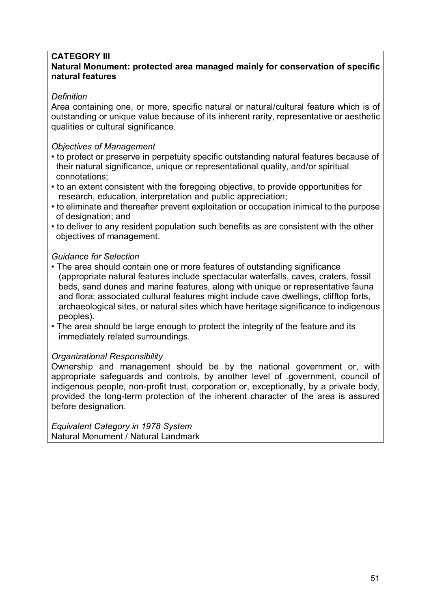#### **CATEGORY Ill Natural Monument: protected area managed mainly for conservation of specific natural features**

### *Definition*

Area containing one, or more, specific natural or natural/cultural feature which is of outstanding or unique value because of its inherent rarity, representative or aesthetic qualities or cultural significance.

#### *Objectives of Management*

- to protect or preserve in perpetuity specific outstanding natural features because of their natural significance, unique or representational quality, and/or spiritual connotations;
- to an extent consistent with the foregoing objective, to provide opportunities for research, education, interpretation and public appreciation;
- to eliminate and thereafter prevent exploitation or occupation inimical to the purpose of designation; and
- to deliver to any resident population such benefits as are consistent with the other objectives of management.

#### *Guidance for Selection*

- The area should contain one or more features of outstanding significance (appropriate natural features include spectacular waterfalls, caves, craters, fossil beds, sand dunes and marine features, along with unique or representative fauna and flora; associated cultural features might include cave dwellings, clifftop forts, archaeological sites, or natural sites which have heritage significance to indigenous peoples).
- The area should be large enough to protect the integrity of the feature and its immediately related surroundings.

# *Organizational Responsibility*

Ownership and management should be by the national government or, with appropriate safeguards and controls, by another level of .government, council of indigenous people, non-profit trust, corporation or, exceptionally, by a private body, provided the long-term protection of the inherent character of the area is assured before designation.

*Equivalent Category in 1978 System* Natural Monument / Natural Landmark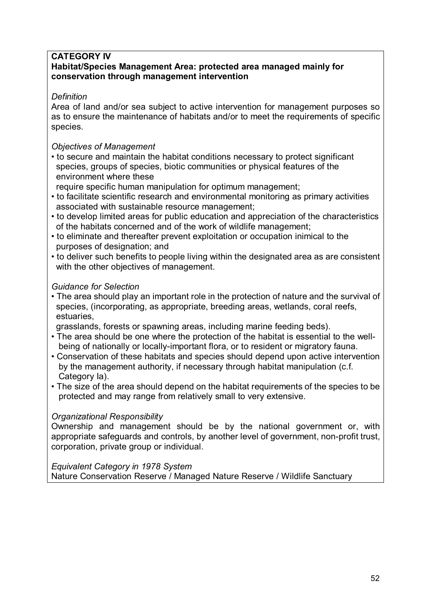#### **CATEGORY IV Habitat/Species Management Area: protected area managed mainly for conservation through management intervention**

# *Definition*

Area of land and/or sea subject to active intervention for management purposes so as to ensure the maintenance of habitats and/or to meet the requirements of specific species.

# *Objectives of Management*

• to secure and maintain the habitat conditions necessary to protect significant species, groups of species, biotic communities or physical features of the environment where these

require specific human manipulation for optimum management;

- to facilitate scientific research and environmental monitoring as primary activities associated with sustainable resource management;
- to develop limited areas for public education and appreciation of the characteristics of the habitats concerned and of the work of wildlife management;
- to eliminate and thereafter prevent exploitation or occupation inimical to the purposes of designation; and
- to deliver such benefits to people living within the designated area as are consistent with the other objectives of management.

# *Guidance for Selection*

• The area should play an important role in the protection of nature and the survival of species, (incorporating, as appropriate, breeding areas, wetlands, coral reefs, estuaries,

grasslands, forests or spawning areas, including marine feeding beds).

- The area should be one where the protection of the habitat is essential to the well being of nationally or locally-important flora, or to resident or migratory fauna.
- Conservation of these habitats and species should depend upon active intervention by the management authority, if necessary through habitat manipulation (c.f. Category Ia).
- The size of the area should depend on the habitat requirements of the species to be protected and may range from relatively small to very extensive.

# *Organizational Responsibility*

Ownership and management should be by the national government or, with appropriate safeguards and controls, by another level of government, non-profit trust, corporation, private group or individual.

*Equivalent Category in 1978 System*

Nature Conservation Reserve / Managed Nature Reserve / Wildlife Sanctuary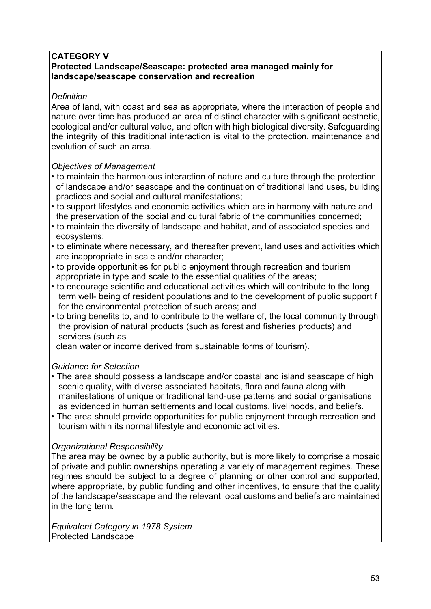#### **CATEGORY V Protected Landscape/Seascape: protected area managed mainly for landscape/seascape conservation and recreation**

# *Definition*

Area of land, with coast and sea as appropriate, where the interaction of people and nature over time has produced an area of distinct character with significant aesthetic, ecological and/or cultural value, and often with high biological diversity. Safeguarding the integrity of this traditional interaction is vital to the protection, maintenance and evolution of such an area.

# *Objectives of Management*

- to maintain the harmonious interaction of nature and culture through the protection of landscape and/or seascape and the continuation of traditional land uses, building practices and social and cultural manifestations;
- to support lifestyles and economic activities which are in harmony with nature and the preservation of the social and cultural fabric of the communities concerned;
- to maintain the diversity of landscape and habitat, and of associated species and ecosystems;
- to eliminate where necessary, and thereafter prevent, land uses and activities which are inappropriate in scale and/or character;
- to provide opportunities for public enjoyment through recreation and tourism appropriate in type and scale to the essential qualities of the areas;
- to encourage scientific and educational activities which will contribute to the long term well- being of resident populations and to the development of public support f for the environmental protection of such areas; and
- to bring benefits to, and to contribute to the welfare of, the local community through the provision of natural products (such as forest and fisheries products) and services (such as

clean water or income derived from sustainable forms of tourism).

# *Guidance for Selection*

- The area should possess a landscape and/or coastal and island seascape of high scenic quality, with diverse associated habitats, flora and fauna along with manifestations of unique or traditional land-use patterns and social organisations as evidenced in human settlements and local customs, livelihoods, and beliefs.
- The area should provide opportunities for public enjoyment through recreation and tourism within its normal lifestyle and economic activities.

# *Organizational Responsibility*

The area may be owned by a public authority, but is more likely to comprise a mosaic of private and public ownerships operating a variety of management regimes. These regimes should be subject to a degree of planning or other control and supported, where appropriate, by public funding and other incentives, to ensure that the quality of the landscape/seascape and the relevant local customs and beliefs arc maintained in the long term.

*Equivalent Category in 1978 System* Protected Landscape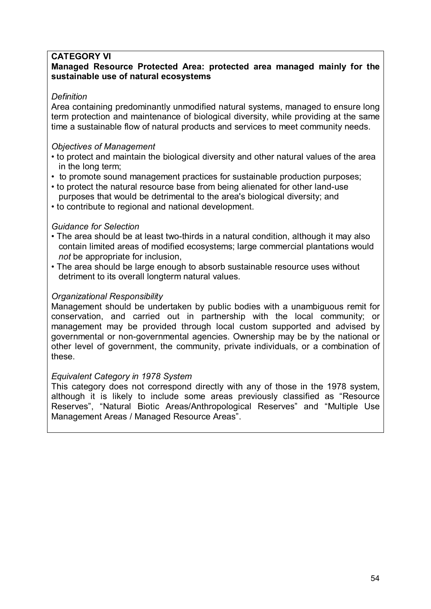# **CATEGORY VI**

#### **Managed Resource Protected Area: protected area managed mainly for the sustainable use of natural ecosystems**

#### *Definition*

Area containing predominantly unmodified natural systems, managed to ensure long term protection and maintenance of biological diversity, while providing at the same time a sustainable flow of natural products and services to meet community needs.

#### *Objectives of Management*

- to protect and maintain the biological diversity and other natural values of the area in the long term;
- to promote sound management practices for sustainable production purposes;
- to protect the natural resource base from being alienated for other land-use purposes that would be detrimental to the area's biological diversity; and
- to contribute to regional and national development.

#### *Guidance for Selection*

- The area should be at least two-thirds in a natural condition, although it may also contain limited areas of modified ecosystems; large commercial plantations would *not* be appropriate for inclusion,
- The area should be large enough to absorb sustainable resource uses without detriment to its overall longterm natural values.

#### *Organizational Responsibility*

Management should be undertaken by public bodies with a unambiguous remit for conservation, and carried out in partnership with the local community; or management may be provided through local custom supported and advised by governmental or non-governmental agencies. Ownership may be by the national or other level of government, the community, private individuals, or a combination of these.

#### *Equivalent Category in 1978 System*

This category does not correspond directly with any of those in the 1978 system, although it is likely to include some areas previously classified as "Resource Reserves", "Natural Biotic Areas/Anthropological Reserves" and "Multiple Use Management Areas / Managed Resource Areas".